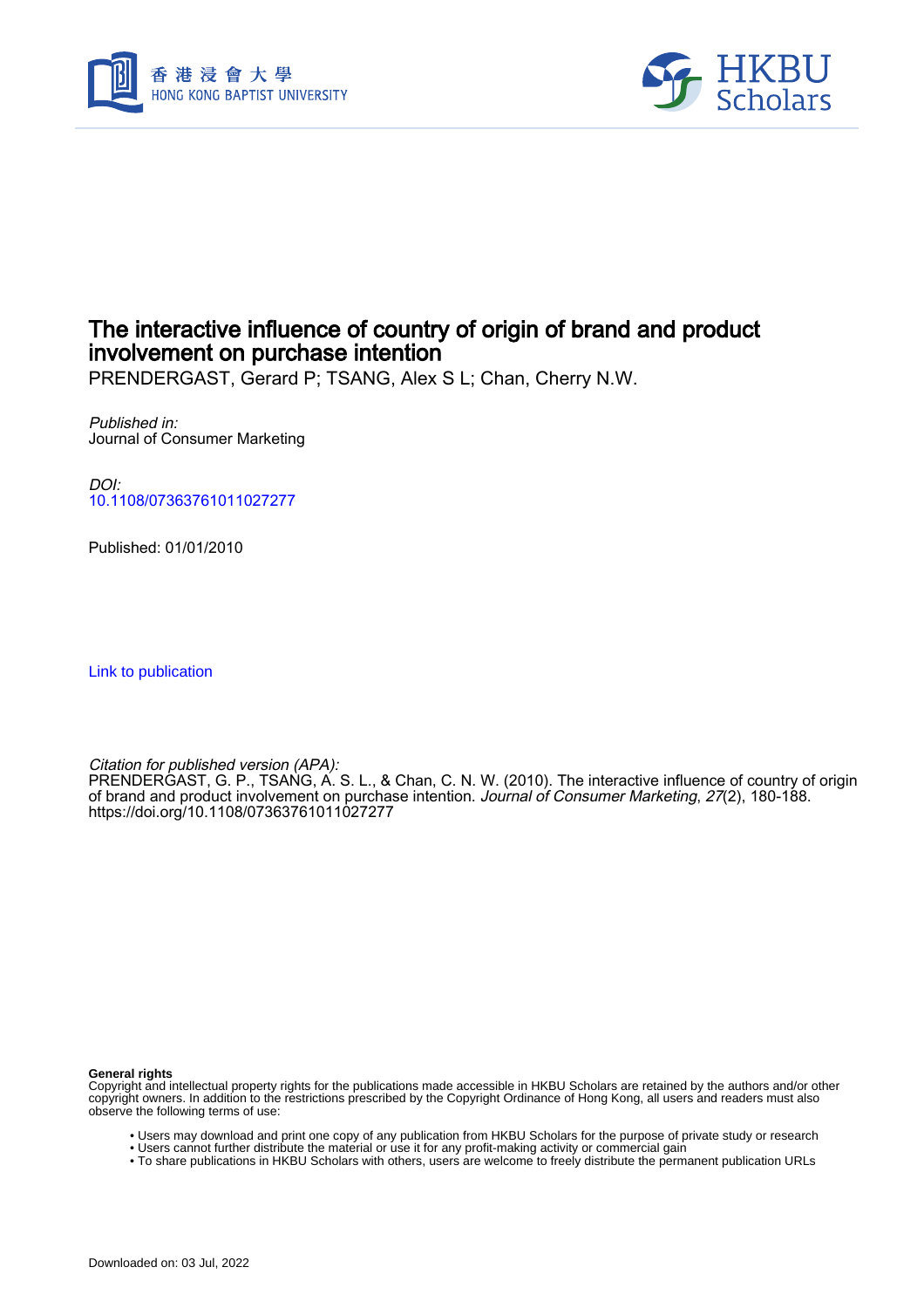



# The interactive influence of country of origin of brand and product involvement on purchase intention

PRENDERGAST, Gerard P; TSANG, Alex S L; Chan, Cherry N.W.

Published in: Journal of Consumer Marketing

DOI: [10.1108/07363761011027277](https://doi.org/10.1108/07363761011027277)

Published: 01/01/2010

[Link to publication](https://scholars.hkbu.edu.hk/en/publications/fab7d5b1-341a-4a08-8e01-5a3e8ecd0af7)

Citation for published version (APA):

PRENDERGAST, G. P., TSANG, A. S. L., & Chan, C. N. W. (2010). The interactive influence of country of origin of brand and product involvement on purchase intention. Journal of Consumer Marketing, 27(2), 180-188. <https://doi.org/10.1108/07363761011027277>

**General rights**

Copyright and intellectual property rights for the publications made accessible in HKBU Scholars are retained by the authors and/or other copyright owners. In addition to the restrictions prescribed by the Copyright Ordinance of Hong Kong, all users and readers must also observe the following terms of use:

- Users may download and print one copy of any publication from HKBU Scholars for the purpose of private study or research
- Users cannot further distribute the material or use it for any profit-making activity or commercial gain
- To share publications in HKBU Scholars with others, users are welcome to freely distribute the permanent publication URLs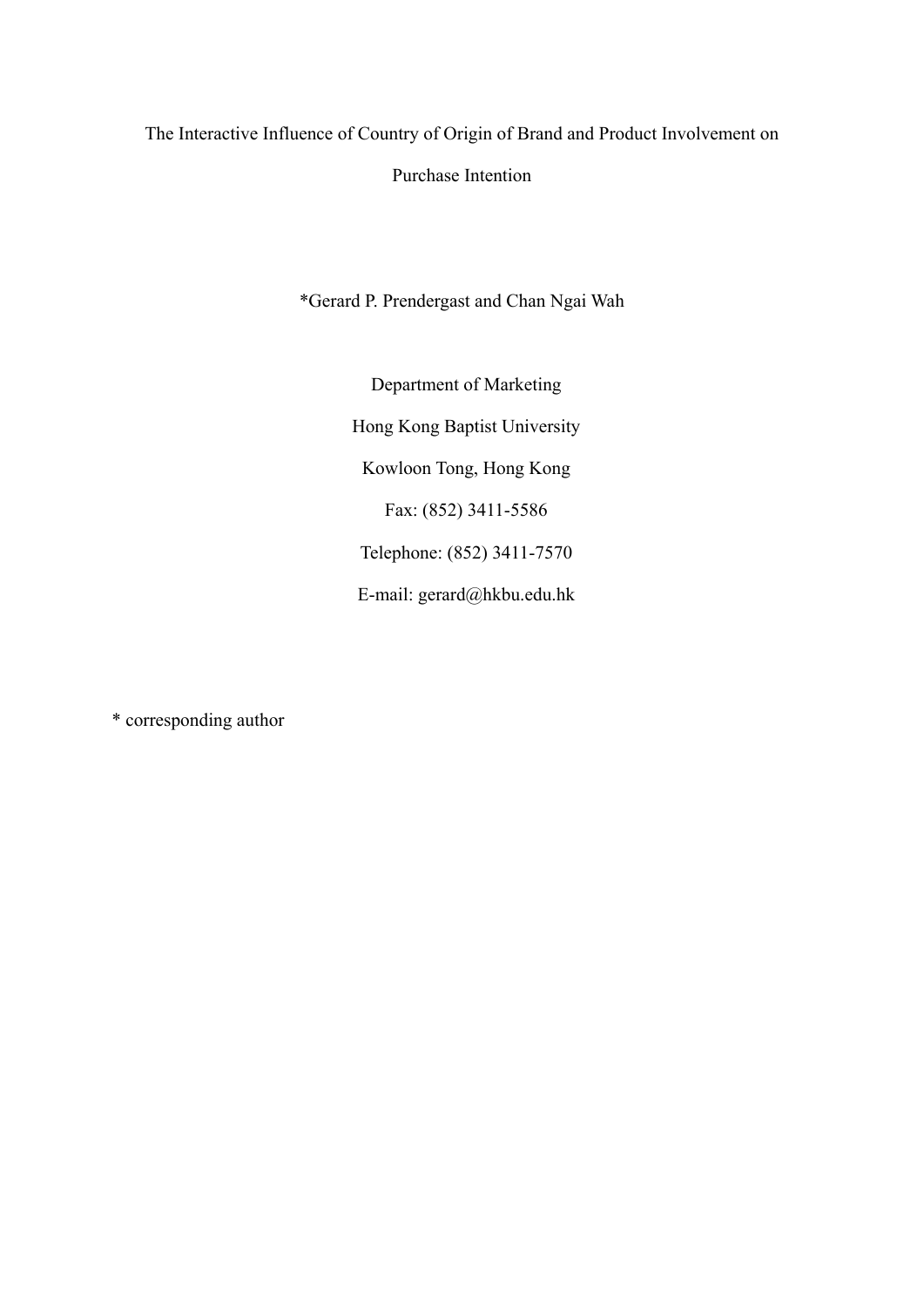The Interactive Influence of Country of Origin of Brand and Product Involvement on

Purchase Intention

\*Gerard P. Prendergast and Chan Ngai Wah

Department of Marketing Hong Kong Baptist University Kowloon Tong, Hong Kong Fax: (852) 3411-5586 Telephone: (852) 3411-7570 E-mail: gerard@hkbu.edu.hk

\* corresponding author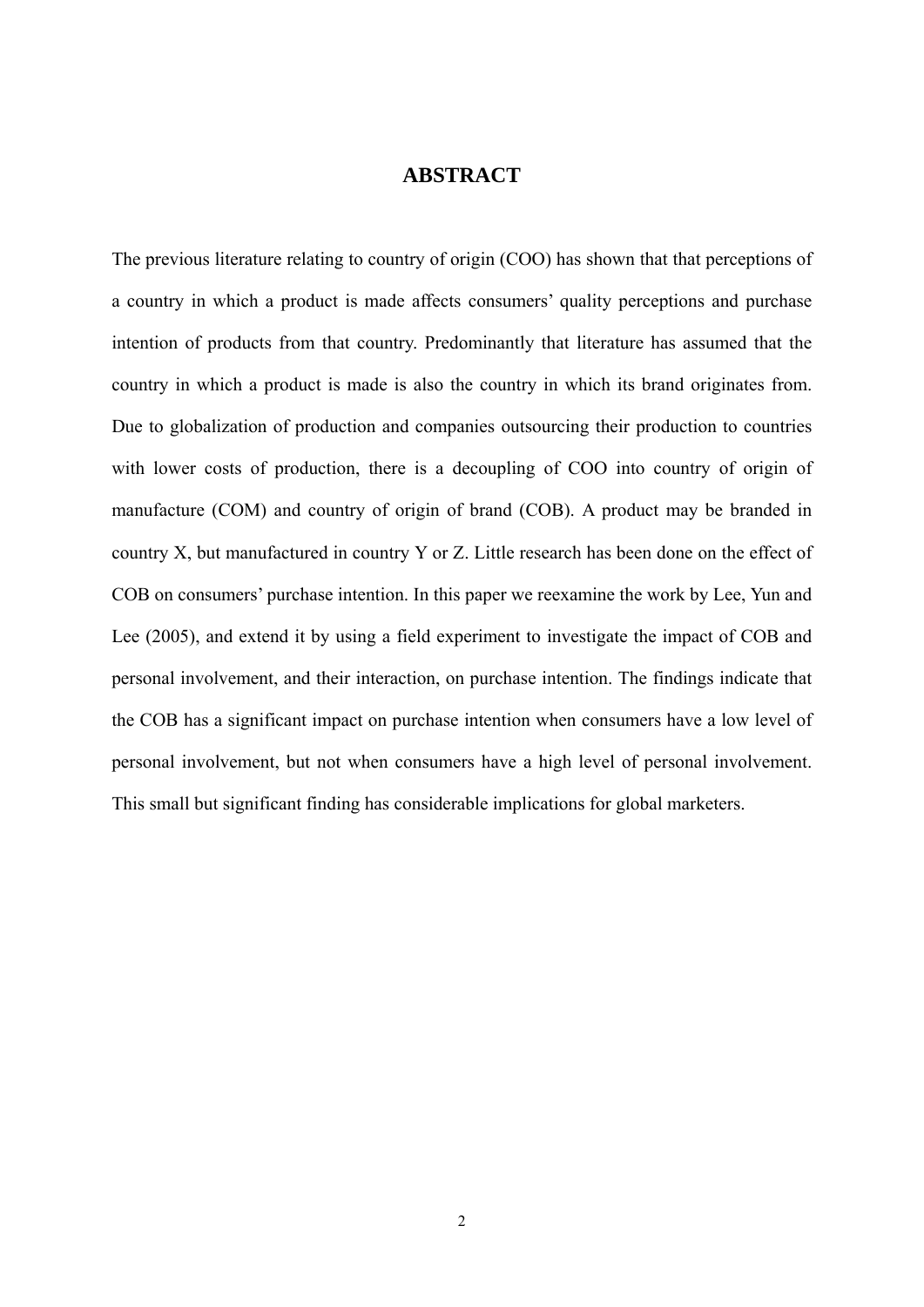## **ABSTRACT**

The previous literature relating to country of origin (COO) has shown that that perceptions of a country in which a product is made affects consumers' quality perceptions and purchase intention of products from that country. Predominantly that literature has assumed that the country in which a product is made is also the country in which its brand originates from. Due to globalization of production and companies outsourcing their production to countries with lower costs of production, there is a decoupling of COO into country of origin of manufacture (COM) and country of origin of brand (COB). A product may be branded in country X, but manufactured in country Y or Z. Little research has been done on the effect of COB on consumers' purchase intention. In this paper we reexamine the work by Lee, Yun and Lee (2005), and extend it by using a field experiment to investigate the impact of COB and personal involvement, and their interaction, on purchase intention. The findings indicate that the COB has a significant impact on purchase intention when consumers have a low level of personal involvement, but not when consumers have a high level of personal involvement. This small but significant finding has considerable implications for global marketers.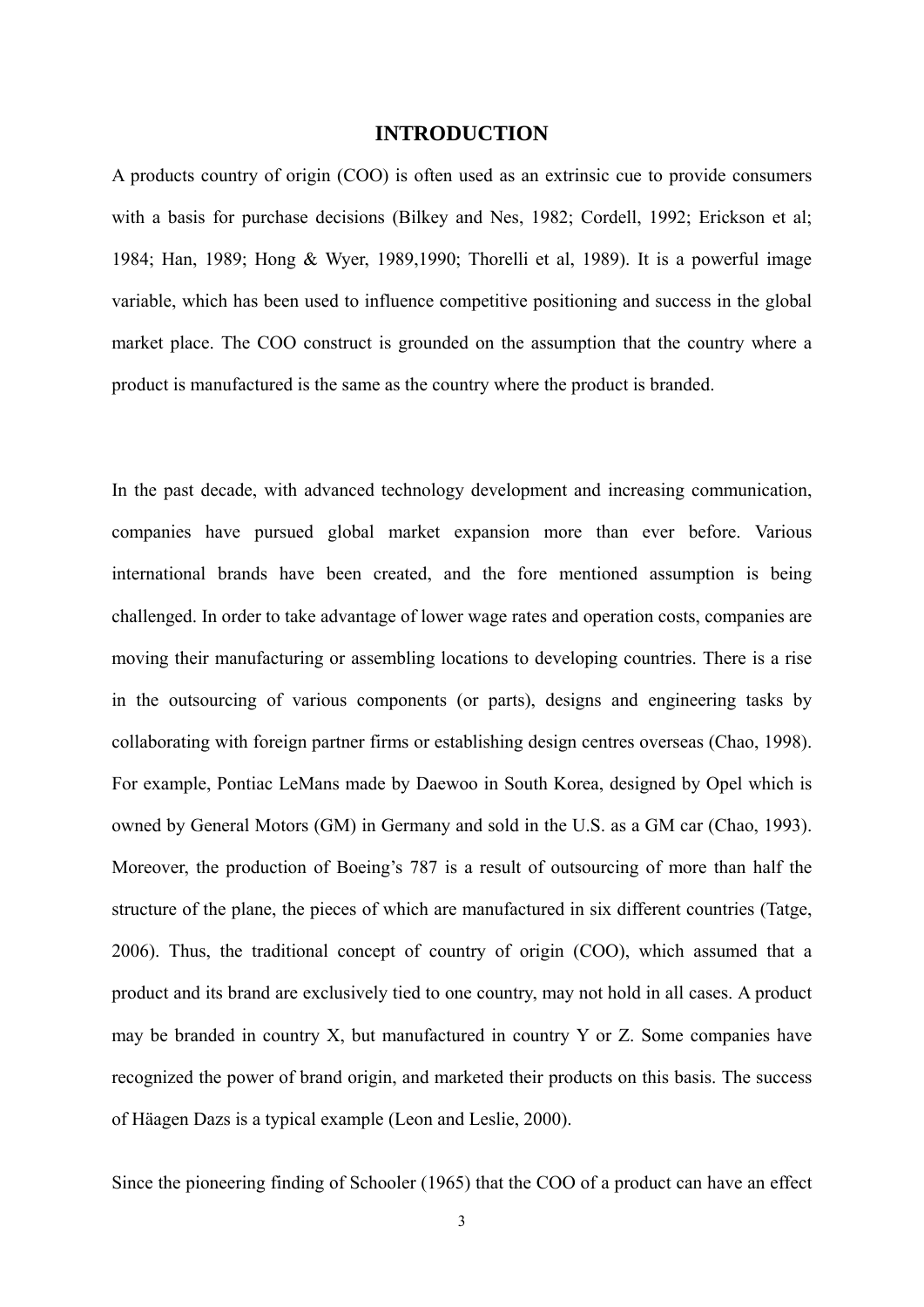## **INTRODUCTION**

A products country of origin (COO) is often used as an extrinsic cue to provide consumers with a basis for purchase decisions (Bilkey and Nes, 1982; Cordell, 1992; Erickson et al; 1984; Han, 1989; Hong & Wyer, 1989,1990; Thorelli et al, 1989). It is a powerful image variable, which has been used to influence competitive positioning and success in the global market place. The COO construct is grounded on the assumption that the country where a product is manufactured is the same as the country where the product is branded.

In the past decade, with advanced technology development and increasing communication, companies have pursued global market expansion more than ever before. Various international brands have been created, and the fore mentioned assumption is being challenged. In order to take advantage of lower wage rates and operation costs, companies are moving their manufacturing or assembling locations to developing countries. There is a rise in the outsourcing of various components (or parts), designs and engineering tasks by collaborating with foreign partner firms or establishing design centres overseas (Chao, 1998). For example, Pontiac LeMans made by Daewoo in South Korea, designed by Opel which is owned by General Motors (GM) in Germany and sold in the U.S. as a GM car (Chao, 1993). Moreover, the production of Boeing's 787 is a result of outsourcing of more than half the structure of the plane, the pieces of which are manufactured in six different countries (Tatge, 2006). Thus, the traditional concept of country of origin (COO), which assumed that a product and its brand are exclusively tied to one country, may not hold in all cases. A product may be branded in country X, but manufactured in country Y or Z. Some companies have recognized the power of brand origin, and marketed their products on this basis. The success of Häagen Dazs is a typical example (Leon and Leslie, 2000).

Since the pioneering finding of Schooler (1965) that the COO of a product can have an effect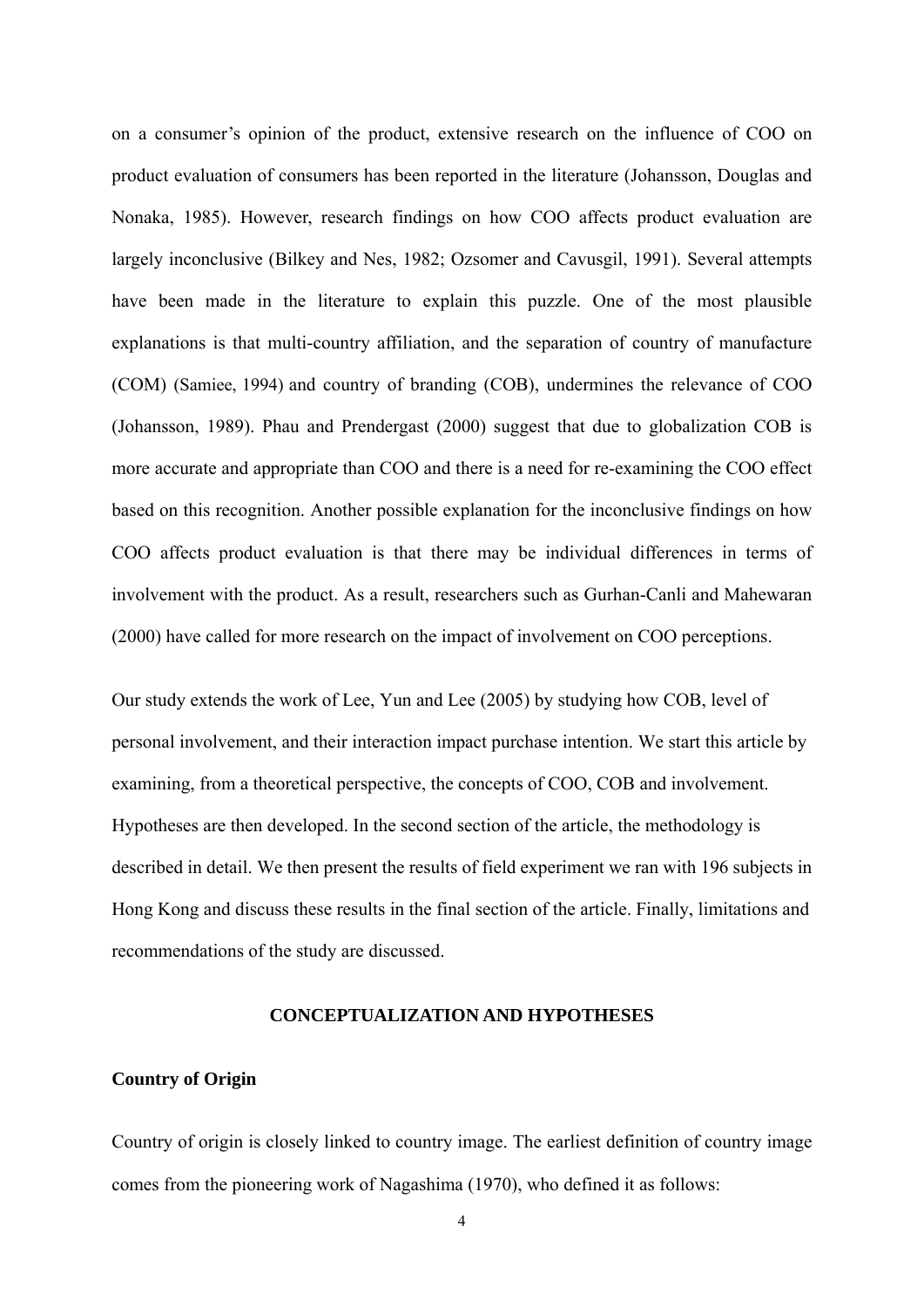on a consumer's opinion of the product, extensive research on the influence of COO on product evaluation of consumers has been reported in the literature (Johansson, Douglas and Nonaka, 1985). However, research findings on how COO affects product evaluation are largely inconclusive (Bilkey and Nes, 1982; Ozsomer and Cavusgil, 1991). Several attempts have been made in the literature to explain this puzzle. One of the most plausible explanations is that multi-country affiliation, and the separation of country of manufacture (COM) (Samiee, 1994) and country of branding (COB), undermines the relevance of COO (Johansson, 1989). Phau and Prendergast (2000) suggest that due to globalization COB is more accurate and appropriate than COO and there is a need for re-examining the COO effect based on this recognition. Another possible explanation for the inconclusive findings on how COO affects product evaluation is that there may be individual differences in terms of involvement with the product. As a result, researchers such as Gurhan-Canli and Mahewaran (2000) have called for more research on the impact of involvement on COO perceptions.

Our study extends the work of Lee, Yun and Lee (2005) by studying how COB, level of personal involvement, and their interaction impact purchase intention. We start this article by examining, from a theoretical perspective, the concepts of COO, COB and involvement. Hypotheses are then developed. In the second section of the article, the methodology is described in detail. We then present the results of field experiment we ran with 196 subjects in Hong Kong and discuss these results in the final section of the article. Finally, limitations and recommendations of the study are discussed.

#### **CONCEPTUALIZATION AND HYPOTHESES**

#### **Country of Origin**

Country of origin is closely linked to country image. The earliest definition of country image comes from the pioneering work of Nagashima (1970), who defined it as follows: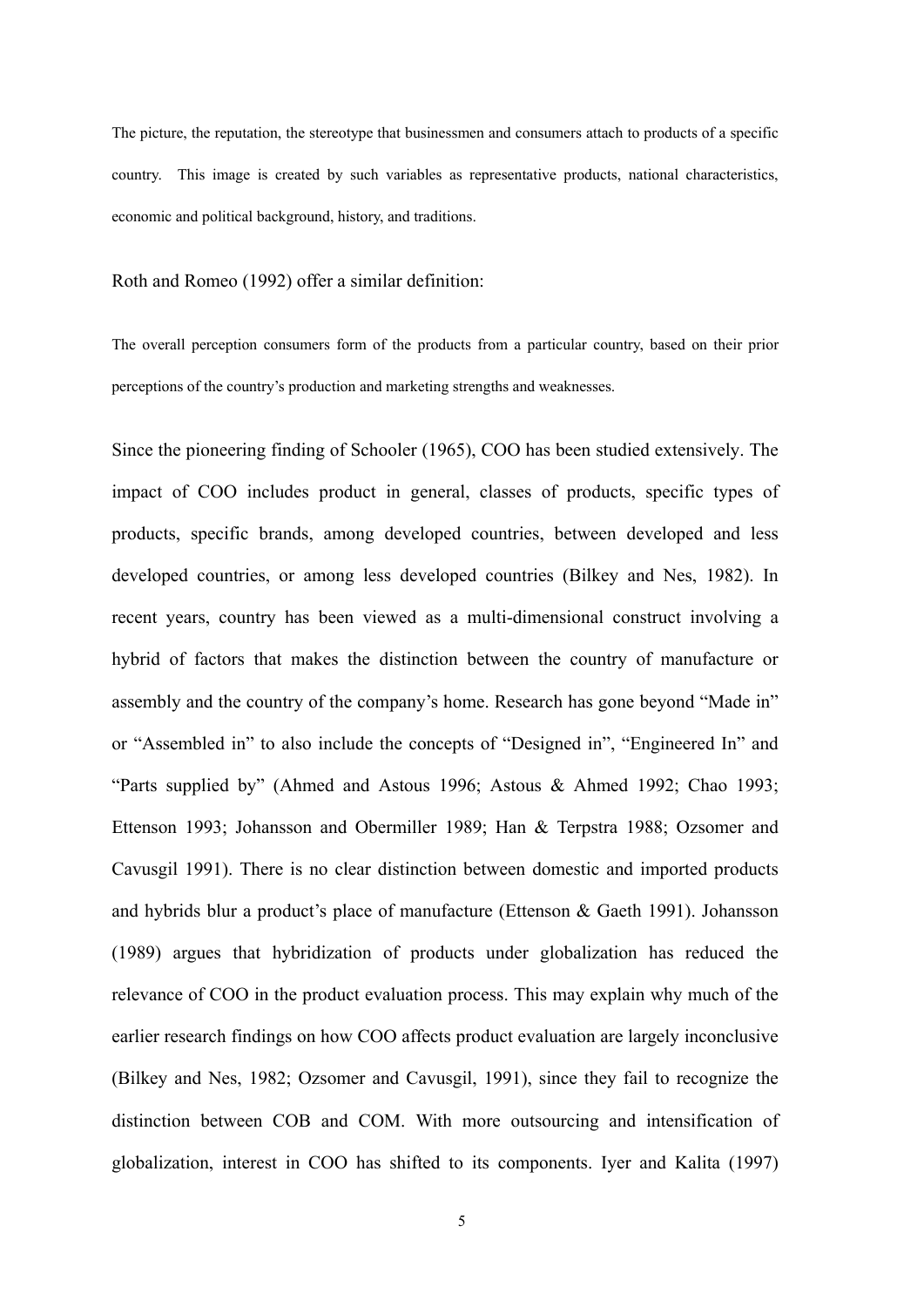The picture, the reputation, the stereotype that businessmen and consumers attach to products of a specific country. This image is created by such variables as representative products, national characteristics, economic and political background, history, and traditions.

Roth and Romeo (1992) offer a similar definition:

The overall perception consumers form of the products from a particular country, based on their prior perceptions of the country's production and marketing strengths and weaknesses.

Since the pioneering finding of Schooler (1965), COO has been studied extensively. The impact of COO includes product in general, classes of products, specific types of products, specific brands, among developed countries, between developed and less developed countries, or among less developed countries (Bilkey and Nes, 1982). In recent years, country has been viewed as a multi-dimensional construct involving a hybrid of factors that makes the distinction between the country of manufacture or assembly and the country of the company's home. Research has gone beyond "Made in" or "Assembled in" to also include the concepts of "Designed in", "Engineered In" and "Parts supplied by" (Ahmed and Astous 1996; Astous & Ahmed 1992; Chao 1993; Ettenson 1993; Johansson and Obermiller 1989; Han & Terpstra 1988; Ozsomer and Cavusgil 1991). There is no clear distinction between domestic and imported products and hybrids blur a product's place of manufacture (Ettenson & Gaeth 1991). Johansson (1989) argues that hybridization of products under globalization has reduced the relevance of COO in the product evaluation process. This may explain why much of the earlier research findings on how COO affects product evaluation are largely inconclusive (Bilkey and Nes, 1982; Ozsomer and Cavusgil, 1991), since they fail to recognize the distinction between COB and COM. With more outsourcing and intensification of globalization, interest in COO has shifted to its components. Iyer and Kalita (1997)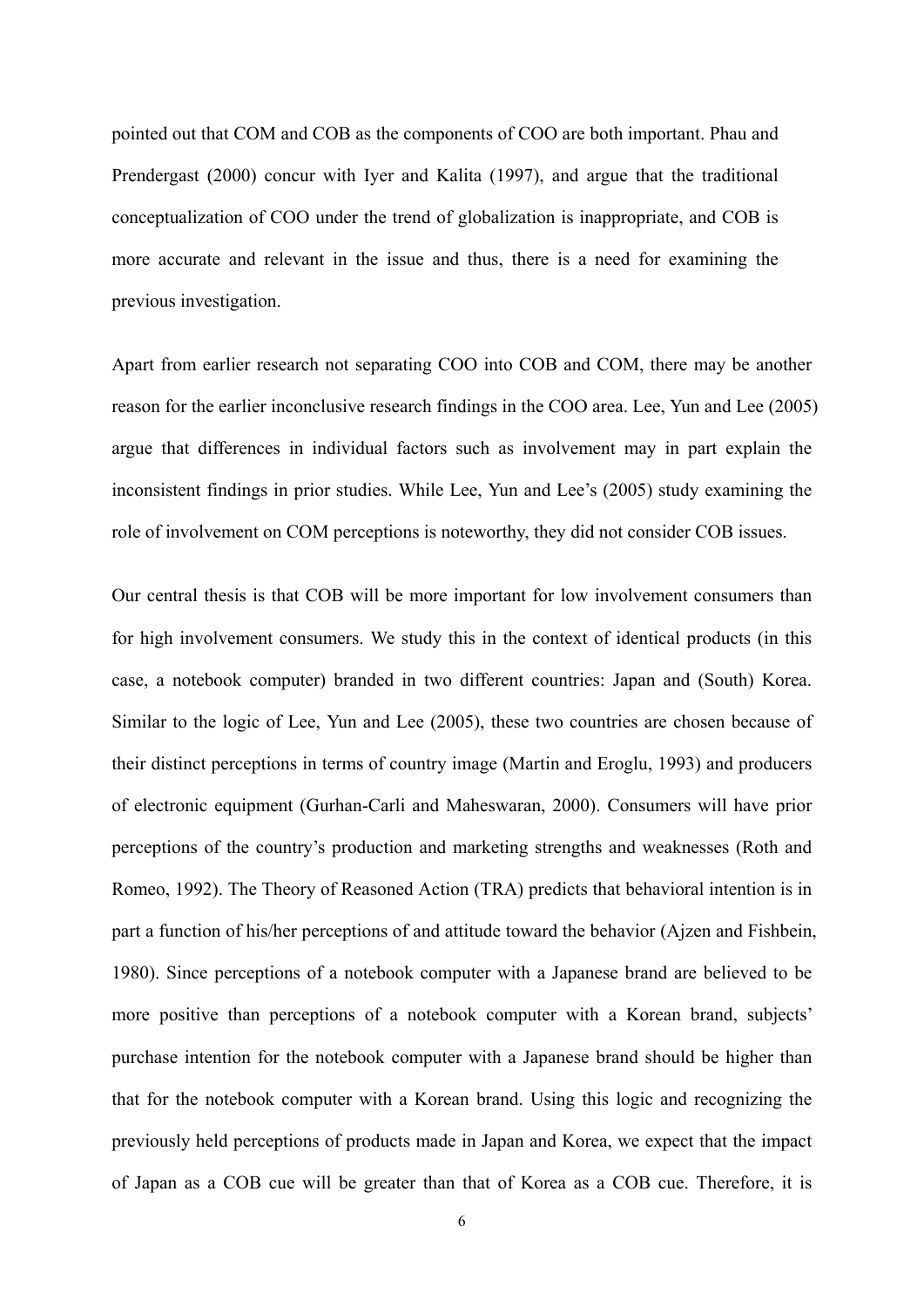pointed out that COM and COB as the components of COO are both important. Phau and Prendergast (2000) concur with Iyer and Kalita (1997), and argue that the traditional conceptualization of COO under the trend of globalization is inappropriate, and COB is more accurate and relevant in the issue and thus, there is a need for examining the previous investigation.

Apart from earlier research not separating COO into COB and COM, there may be another reason for the earlier inconclusive research findings in the COO area. Lee, Yun and Lee (2005) argue that differences in individual factors such as involvement may in part explain the inconsistent findings in prior studies. While Lee, Yun and Lee's (2005) study examining the role of involvement on COM perceptions is noteworthy, they did not consider COB issues.

Our central thesis is that COB will be more important for low involvement consumers than for high involvement consumers. We study this in the context of identical products (in this case, a notebook computer) branded in two different countries: Japan and (South) Korea. Similar to the logic of Lee, Yun and Lee (2005), these two countries are chosen because of their distinct perceptions in terms of country image (Martin and Eroglu, 1993) and producers of electronic equipment (Gurhan-Carli and Maheswaran, 2000). Consumers will have prior perceptions of the country's production and marketing strengths and weaknesses (Roth and Romeo, 1992). The Theory of Reasoned Action (TRA) predicts that behavioral intention is in part a function of his/her perceptions of and attitude toward the behavior (Ajzen and Fishbein, 1980). Since perceptions of a notebook computer with a Japanese brand are believed to be more positive than perceptions of a notebook computer with a Korean brand, subjects' purchase intention for the notebook computer with a Japanese brand should be higher than that for the notebook computer with a Korean brand. Using this logic and recognizing the previously held perceptions of products made in Japan and Korea, we expect that the impact of Japan as a COB cue will be greater than that of Korea as a COB cue. Therefore, it is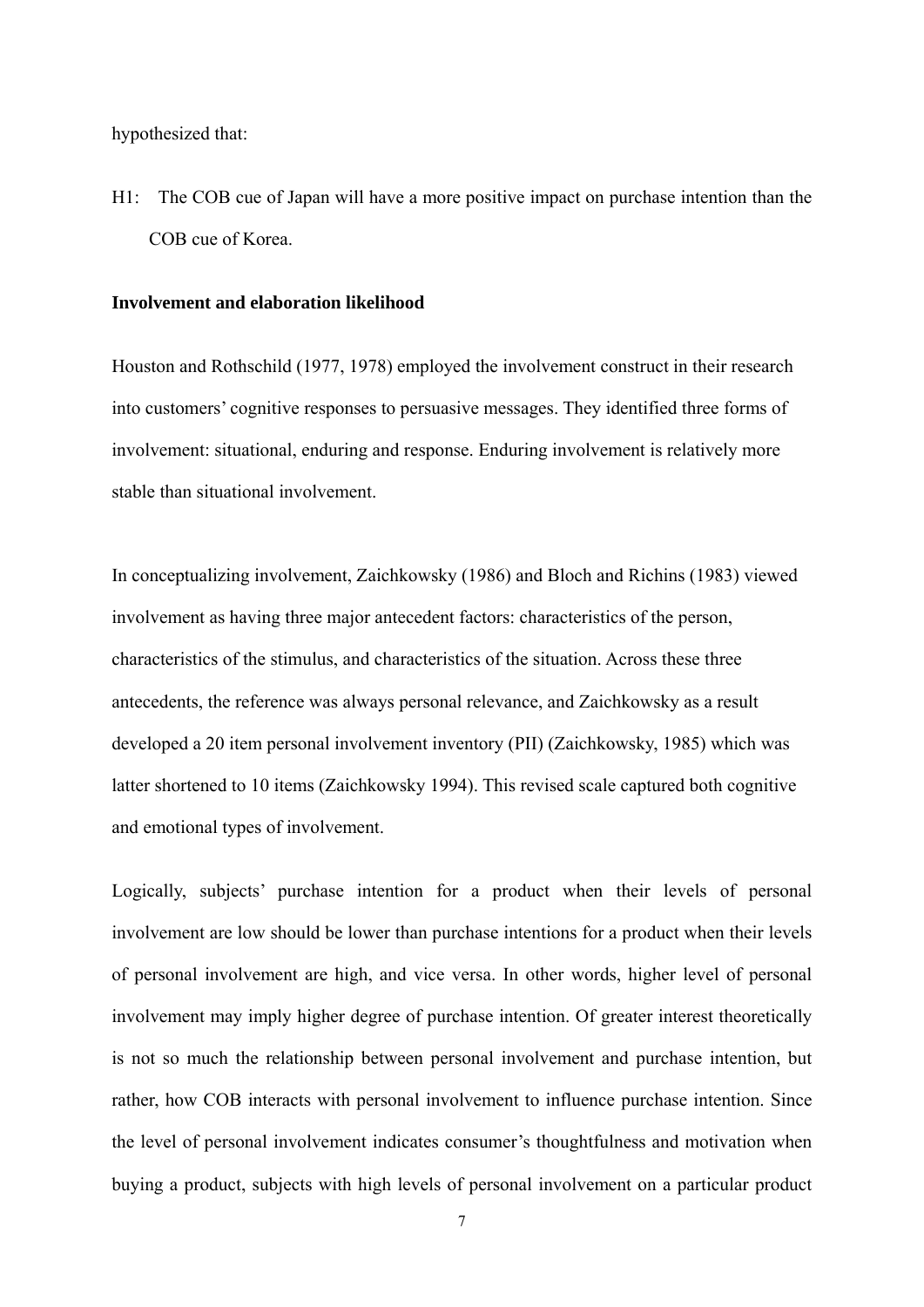hypothesized that:

H1: The COB cue of Japan will have a more positive impact on purchase intention than the COB cue of Korea.

#### **Involvement and elaboration likelihood**

Houston and Rothschild (1977, 1978) employed the involvement construct in their research into customers' cognitive responses to persuasive messages. They identified three forms of involvement: situational, enduring and response. Enduring involvement is relatively more stable than situational involvement.

In conceptualizing involvement, Zaichkowsky (1986) and Bloch and Richins (1983) viewed involvement as having three major antecedent factors: characteristics of the person, characteristics of the stimulus, and characteristics of the situation. Across these three antecedents, the reference was always personal relevance, and Zaichkowsky as a result developed a 20 item personal involvement inventory (PII) (Zaichkowsky, 1985) which was latter shortened to 10 items (Zaichkowsky 1994). This revised scale captured both cognitive and emotional types of involvement.

Logically, subjects' purchase intention for a product when their levels of personal involvement are low should be lower than purchase intentions for a product when their levels of personal involvement are high, and vice versa. In other words, higher level of personal involvement may imply higher degree of purchase intention. Of greater interest theoretically is not so much the relationship between personal involvement and purchase intention, but rather, how COB interacts with personal involvement to influence purchase intention. Since the level of personal involvement indicates consumer's thoughtfulness and motivation when buying a product, subjects with high levels of personal involvement on a particular product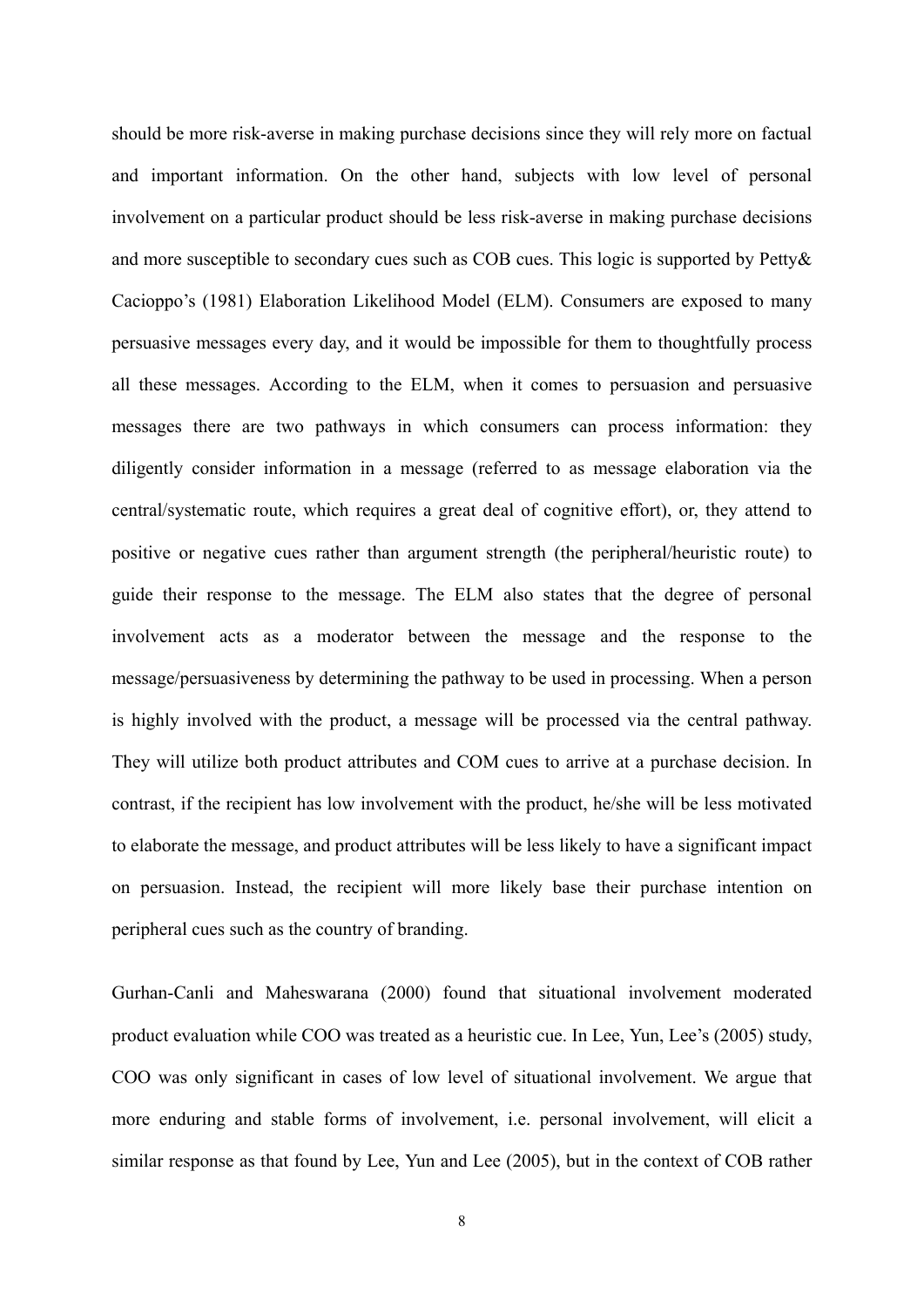should be more risk-averse in making purchase decisions since they will rely more on factual and important information. On the other hand, subjects with low level of personal involvement on a particular product should be less risk-averse in making purchase decisions and more susceptible to secondary cues such as COB cues. This logic is supported by Petty& Cacioppo's (1981) Elaboration Likelihood Model (ELM). Consumers are exposed to many persuasive messages every day, and it would be impossible for them to thoughtfully process all these messages. According to the ELM, when it comes to persuasion and persuasive messages there are two pathways in which consumers can process information: they diligently consider information in a message (referred to as message elaboration via the central/systematic route, which requires a great deal of cognitive effort), or, they attend to positive or negative cues rather than argument strength (the peripheral/heuristic route) to guide their response to the message. The ELM also states that the degree of personal involvement acts as a moderator between the message and the response to the message/persuasiveness by determining the pathway to be used in processing. When a person is highly involved with the product, a message will be processed via the central pathway. They will utilize both product attributes and COM cues to arrive at a purchase decision. In contrast, if the recipient has low involvement with the product, he/she will be less motivated to elaborate the message, and product attributes will be less likely to have a significant impact on persuasion. Instead, the recipient will more likely base their purchase intention on peripheral cues such as the country of branding.

Gurhan-Canli and Maheswarana (2000) found that situational involvement moderated product evaluation while COO was treated as a heuristic cue. In Lee, Yun, Lee's (2005) study, COO was only significant in cases of low level of situational involvement. We argue that more enduring and stable forms of involvement, i.e. personal involvement, will elicit a similar response as that found by Lee, Yun and Lee (2005), but in the context of COB rather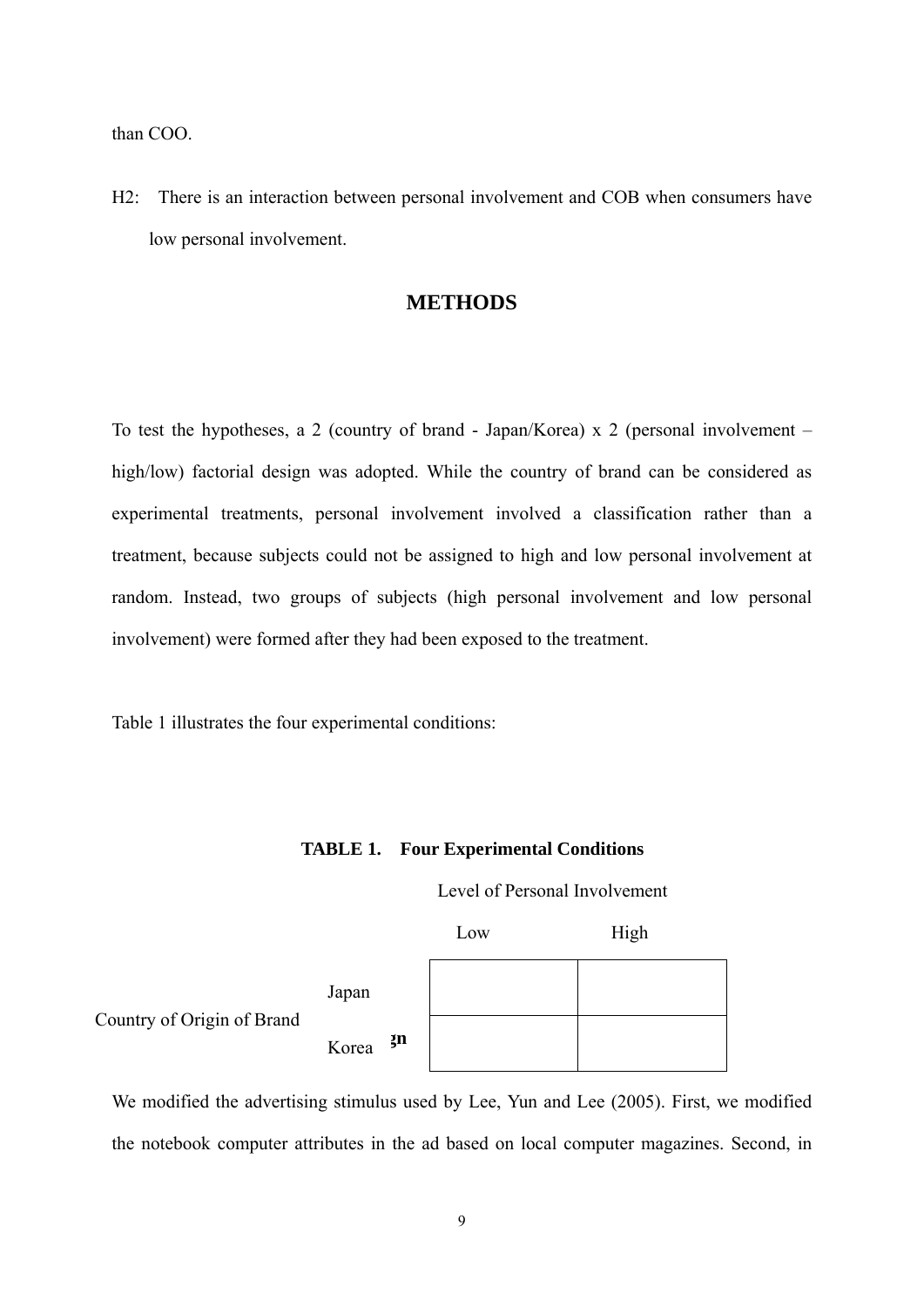than COO.

H2: There is an interaction between personal involvement and COB when consumers have low personal involvement.

## **METHODS**

To test the hypotheses, a 2 (country of brand - Japan/Korea) x 2 (personal involvement – high/low) factorial design was adopted. While the country of brand can be considered as experimental treatments, personal involvement involved a classification rather than a treatment, because subjects could not be assigned to high and low personal involvement at random. Instead, two groups of subjects (high personal involvement and low personal involvement) were formed after they had been exposed to the treatment.

Table 1 illustrates the four experimental conditions:

|                            |       |    | Level of Personal Involvement |      |  |
|----------------------------|-------|----|-------------------------------|------|--|
|                            |       |    | Low                           | High |  |
| Country of Origin of Brand | Japan |    |                               |      |  |
|                            | Korea | ŢП |                               |      |  |

**TABLE 1. Four Experimental Conditions** 

the notebook computer attributes in the ad based on local computer magazines. Second, in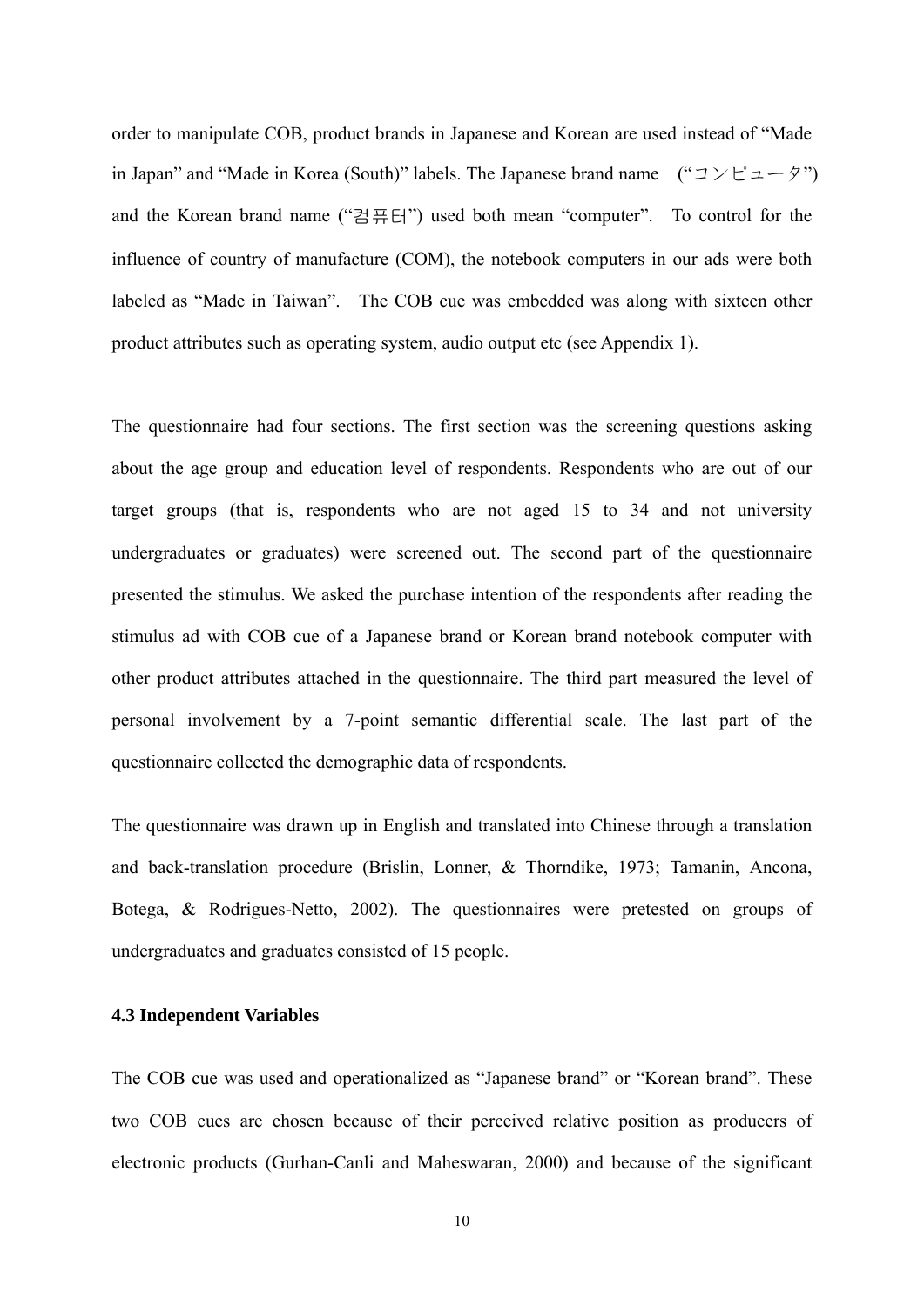order to manipulate COB, product brands in Japanese and Korean are used instead of "Made in Japan" and "Made in Korea (South)" labels. The Japanese brand name  $($ " $\exists \forall \exists \neg \forall$ ") and the Korean brand name ("컴퓨터") used both mean "computer". To control for the influence of country of manufacture (COM), the notebook computers in our ads were both labeled as "Made in Taiwan". The COB cue was embedded was along with sixteen other product attributes such as operating system, audio output etc (see Appendix 1).

The questionnaire had four sections. The first section was the screening questions asking about the age group and education level of respondents. Respondents who are out of our target groups (that is, respondents who are not aged 15 to 34 and not university undergraduates or graduates) were screened out. The second part of the questionnaire presented the stimulus. We asked the purchase intention of the respondents after reading the stimulus ad with COB cue of a Japanese brand or Korean brand notebook computer with other product attributes attached in the questionnaire. The third part measured the level of personal involvement by a 7-point semantic differential scale. The last part of the questionnaire collected the demographic data of respondents.

The questionnaire was drawn up in English and translated into Chinese through a translation and back-translation procedure (Brislin, Lonner, & Thorndike, 1973; Tamanin, Ancona, Botega, & Rodrigues-Netto, 2002). The questionnaires were pretested on groups of undergraduates and graduates consisted of 15 people.

## **4.3 Independent Variables**

The COB cue was used and operationalized as "Japanese brand" or "Korean brand". These two COB cues are chosen because of their perceived relative position as producers of electronic products (Gurhan-Canli and Maheswaran, 2000) and because of the significant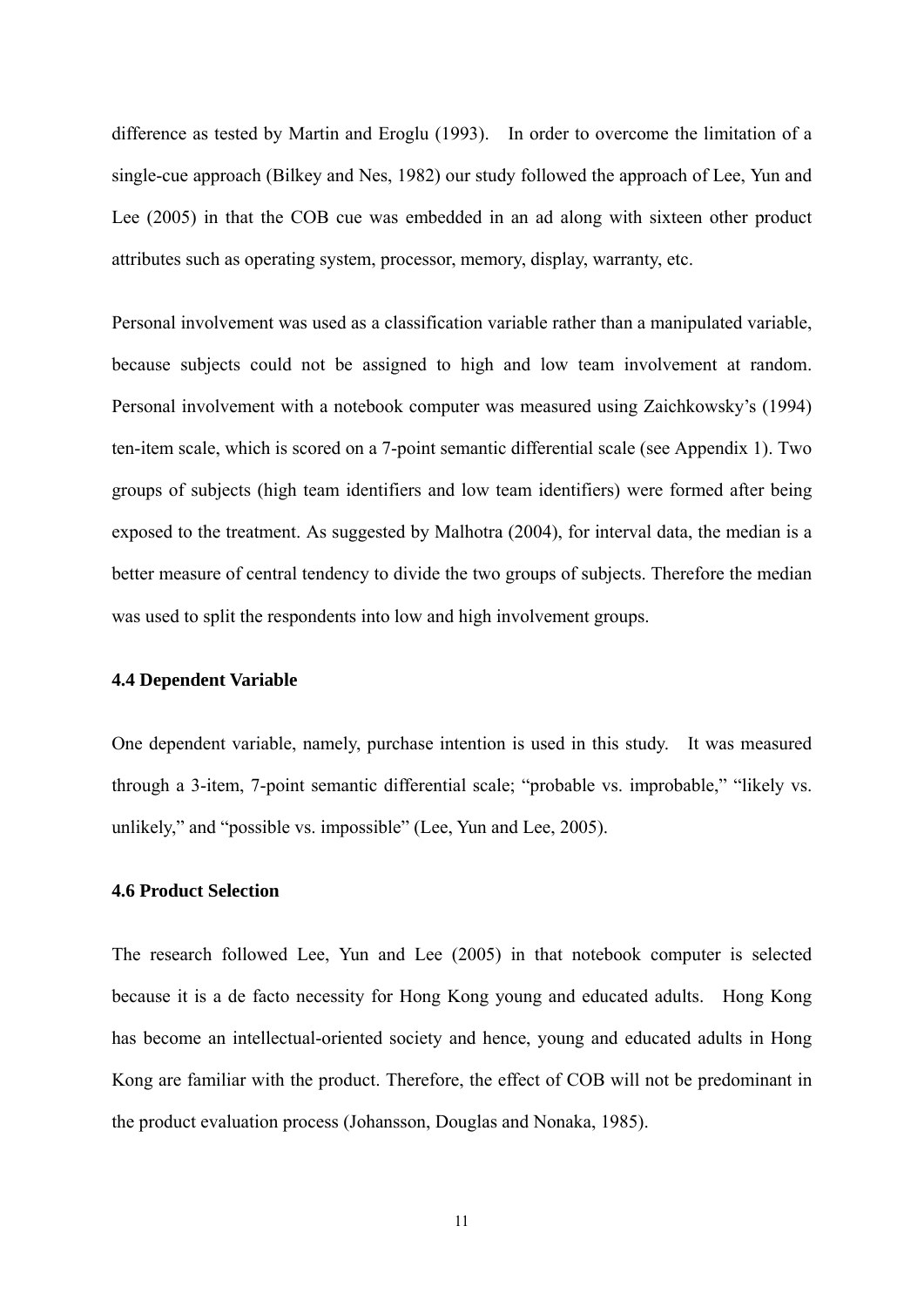difference as tested by Martin and Eroglu (1993). In order to overcome the limitation of a single-cue approach (Bilkey and Nes, 1982) our study followed the approach of Lee, Yun and Lee (2005) in that the COB cue was embedded in an ad along with sixteen other product attributes such as operating system, processor, memory, display, warranty, etc.

Personal involvement was used as a classification variable rather than a manipulated variable, because subjects could not be assigned to high and low team involvement at random. Personal involvement with a notebook computer was measured using Zaichkowsky's (1994) ten-item scale, which is scored on a 7-point semantic differential scale (see Appendix 1). Two groups of subjects (high team identifiers and low team identifiers) were formed after being exposed to the treatment. As suggested by Malhotra (2004), for interval data, the median is a better measure of central tendency to divide the two groups of subjects. Therefore the median was used to split the respondents into low and high involvement groups.

#### **4.4 Dependent Variable**

One dependent variable, namely, purchase intention is used in this study. It was measured through a 3-item, 7-point semantic differential scale; "probable vs. improbable," "likely vs. unlikely," and "possible vs. impossible" (Lee, Yun and Lee, 2005).

### **4.6 Product Selection**

The research followed Lee, Yun and Lee (2005) in that notebook computer is selected because it is a de facto necessity for Hong Kong young and educated adults. Hong Kong has become an intellectual-oriented society and hence, young and educated adults in Hong Kong are familiar with the product. Therefore, the effect of COB will not be predominant in the product evaluation process (Johansson, Douglas and Nonaka, 1985).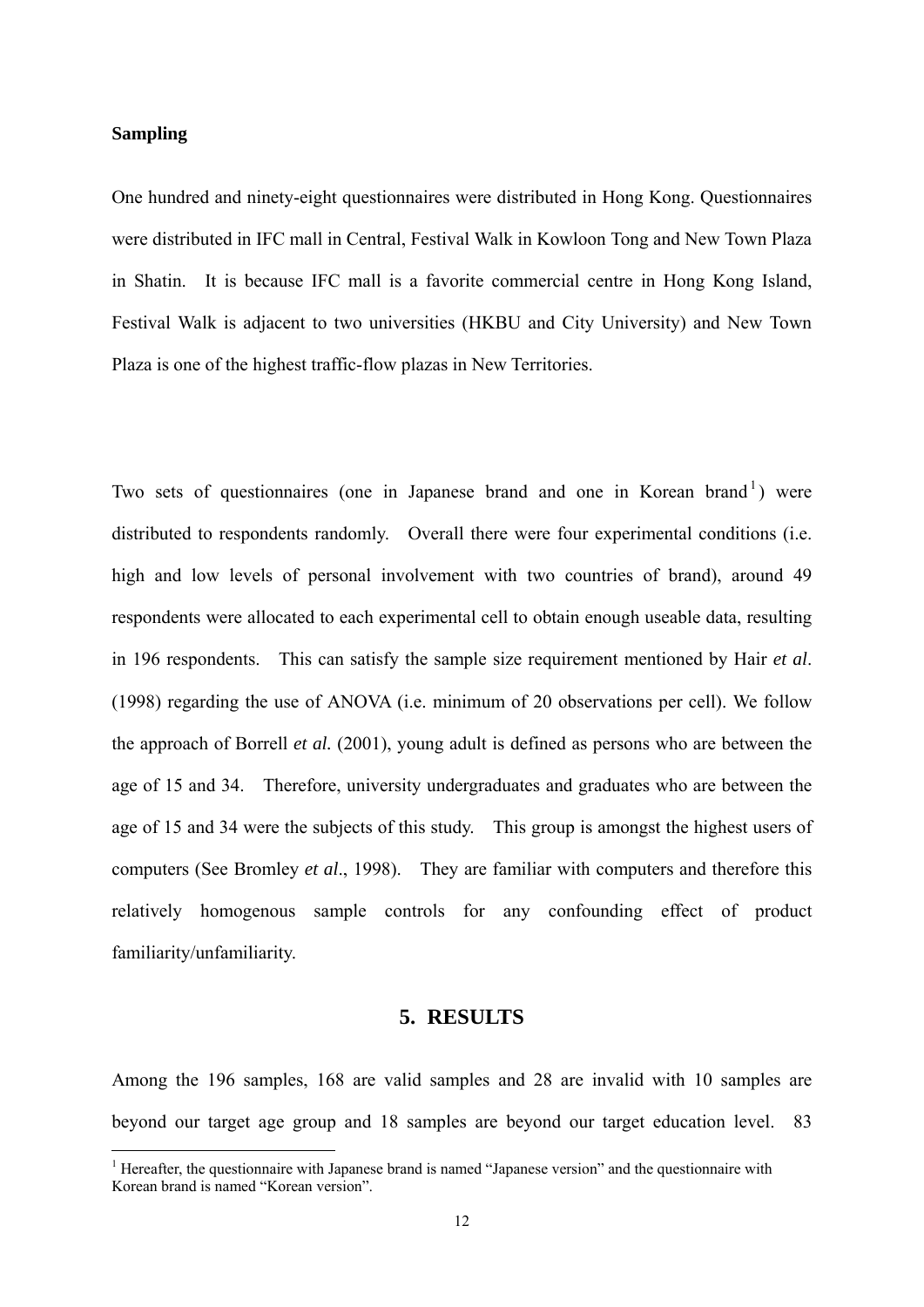#### **Sampling**

1

One hundred and ninety-eight questionnaires were distributed in Hong Kong. Questionnaires were distributed in IFC mall in Central, Festival Walk in Kowloon Tong and New Town Plaza in Shatin. It is because IFC mall is a favorite commercial centre in Hong Kong Island, Festival Walk is adjacent to two universities (HKBU and City University) and New Town Plaza is one of the highest traffic-flow plazas in New Territories.

Two sets of questionnaires (one in Japanese brand and one in Korean brand<sup>[1](#page-12-0)</sup>) were distributed to respondents randomly. Overall there were four experimental conditions (i.e. high and low levels of personal involvement with two countries of brand), around 49 respondents were allocated to each experimental cell to obtain enough useable data, resulting in 196 respondents. This can satisfy the sample size requirement mentioned by Hair *et al*. (1998) regarding the use of ANOVA (i.e. minimum of 20 observations per cell). We follow the approach of Borrell *et al.* (2001), young adult is defined as persons who are between the age of 15 and 34. Therefore, university undergraduates and graduates who are between the age of 15 and 34 were the subjects of this study. This group is amongst the highest users of computers (See Bromley *et al*., 1998). They are familiar with computers and therefore this relatively homogenous sample controls for any confounding effect of product familiarity/unfamiliarity.

## **5. RESULTS**

Among the 196 samples, 168 are valid samples and 28 are invalid with 10 samples are beyond our target age group and 18 samples are beyond our target education level. 83

<span id="page-12-0"></span><sup>&</sup>lt;sup>1</sup> Hereafter, the questionnaire with Japanese brand is named "Japanese version" and the questionnaire with Korean brand is named "Korean version".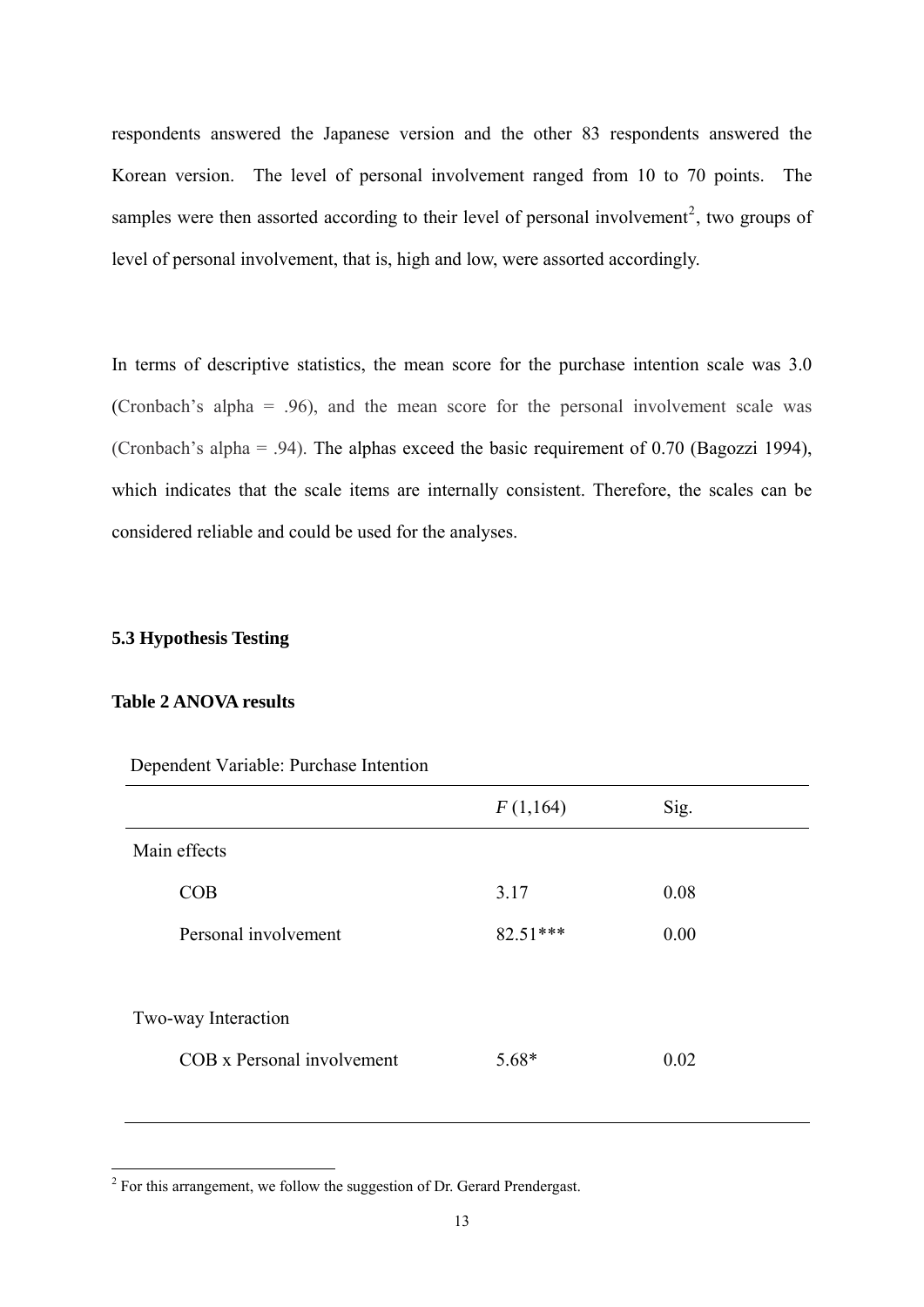respondents answered the Japanese version and the other 83 respondents answered the Korean version. The level of personal involvement ranged from 10 to 70 points. The samples were then assorted according to their level of personal involvement<sup>[2](#page-13-0)</sup>, two groups of level of personal involvement, that is, high and low, were assorted accordingly.

In terms of descriptive statistics, the mean score for the purchase intention scale was 3.0 (Cronbach's alpha = .96), and the mean score for the personal involvement scale was (Cronbach's alpha = .94). The alphas exceed the basic requirement of 0.70 (Bagozzi 1994), which indicates that the scale items are internally consistent. Therefore, the scales can be considered reliable and could be used for the analyses.

## **5.3 Hypothesis Testing**

#### **Table 2 ANOVA results**

|                            | F(1,164)   | Sig. |  |
|----------------------------|------------|------|--|
| Main effects               |            |      |  |
| COB                        | 3.17       | 0.08 |  |
| Personal involvement       | $82.51***$ | 0.00 |  |
|                            |            |      |  |
| Two-way Interaction        |            |      |  |
| COB x Personal involvement | $5.68*$    | 0.02 |  |
|                            |            |      |  |

Dependent Variable: Purchase Intention

<span id="page-13-0"></span><sup>&</sup>lt;sup>2</sup> For this arrangement, we follow the suggestion of Dr. Gerard Prendergast.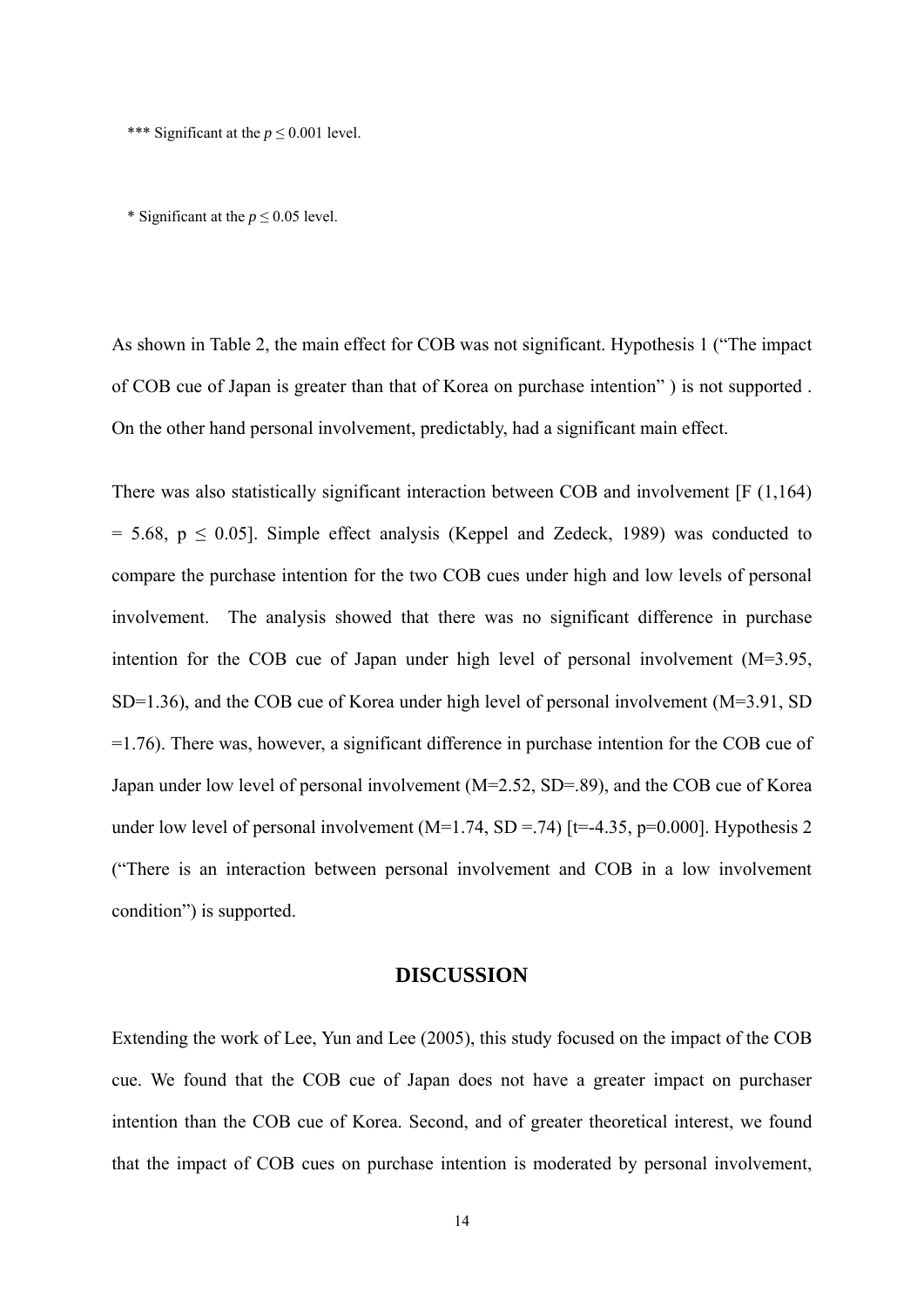\*\*\* Significant at the *p* ≤ 0.001 level.

\* Significant at the  $p \le 0.05$  level.

As shown in Table 2, the main effect for COB was not significant. Hypothesis 1 ("The impact of COB cue of Japan is greater than that of Korea on purchase intention" ) is not supported . On the other hand personal involvement, predictably, had a significant main effect.

There was also statistically significant interaction between COB and involvement [F (1,164)  $= 5.68$ ,  $p \le 0.05$ ]. Simple effect analysis (Keppel and Zedeck, 1989) was conducted to compare the purchase intention for the two COB cues under high and low levels of personal involvement. The analysis showed that there was no significant difference in purchase intention for the COB cue of Japan under high level of personal involvement (M=3.95, SD=1.36), and the COB cue of Korea under high level of personal involvement (M=3.91, SD =1.76). There was, however, a significant difference in purchase intention for the COB cue of Japan under low level of personal involvement (M=2.52, SD=.89), and the COB cue of Korea under low level of personal involvement  $(M=1.74, SD = .74)$  [t=-4.35, p=0.000]. Hypothesis 2 ("There is an interaction between personal involvement and COB in a low involvement condition") is supported.

#### **DISCUSSION**

Extending the work of Lee, Yun and Lee (2005), this study focused on the impact of the COB cue. We found that the COB cue of Japan does not have a greater impact on purchaser intention than the COB cue of Korea. Second, and of greater theoretical interest, we found that the impact of COB cues on purchase intention is moderated by personal involvement,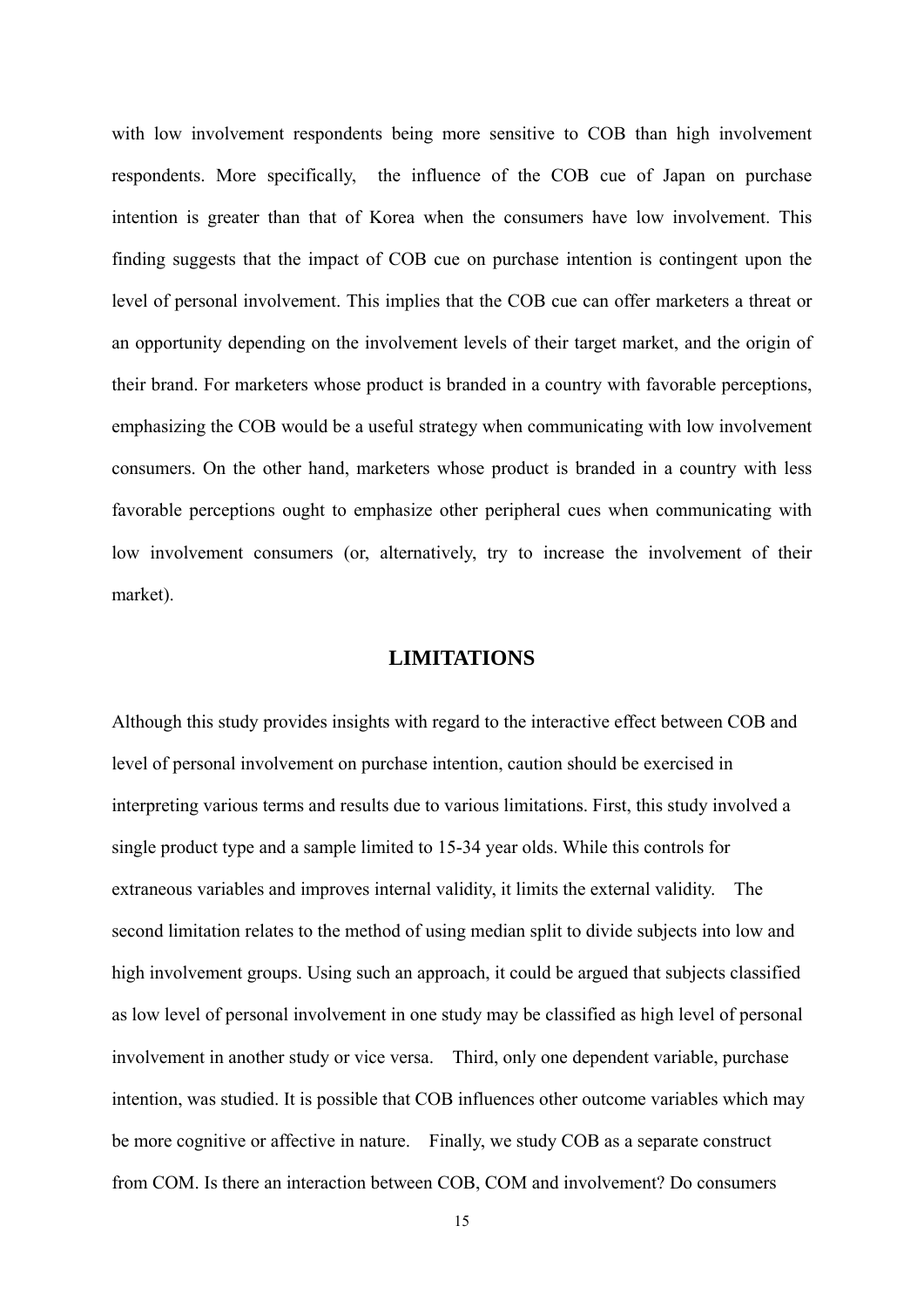with low involvement respondents being more sensitive to COB than high involvement respondents. More specifically, the influence of the COB cue of Japan on purchase intention is greater than that of Korea when the consumers have low involvement. This finding suggests that the impact of COB cue on purchase intention is contingent upon the level of personal involvement. This implies that the COB cue can offer marketers a threat or an opportunity depending on the involvement levels of their target market, and the origin of their brand. For marketers whose product is branded in a country with favorable perceptions, emphasizing the COB would be a useful strategy when communicating with low involvement consumers. On the other hand, marketers whose product is branded in a country with less favorable perceptions ought to emphasize other peripheral cues when communicating with low involvement consumers (or, alternatively, try to increase the involvement of their market).

## **LIMITATIONS**

Although this study provides insights with regard to the interactive effect between COB and level of personal involvement on purchase intention, caution should be exercised in interpreting various terms and results due to various limitations. First, this study involved a single product type and a sample limited to 15-34 year olds. While this controls for extraneous variables and improves internal validity, it limits the external validity. The second limitation relates to the method of using median split to divide subjects into low and high involvement groups. Using such an approach, it could be argued that subjects classified as low level of personal involvement in one study may be classified as high level of personal involvement in another study or vice versa. Third, only one dependent variable, purchase intention, was studied. It is possible that COB influences other outcome variables which may be more cognitive or affective in nature. Finally, we study COB as a separate construct from COM. Is there an interaction between COB, COM and involvement? Do consumers

15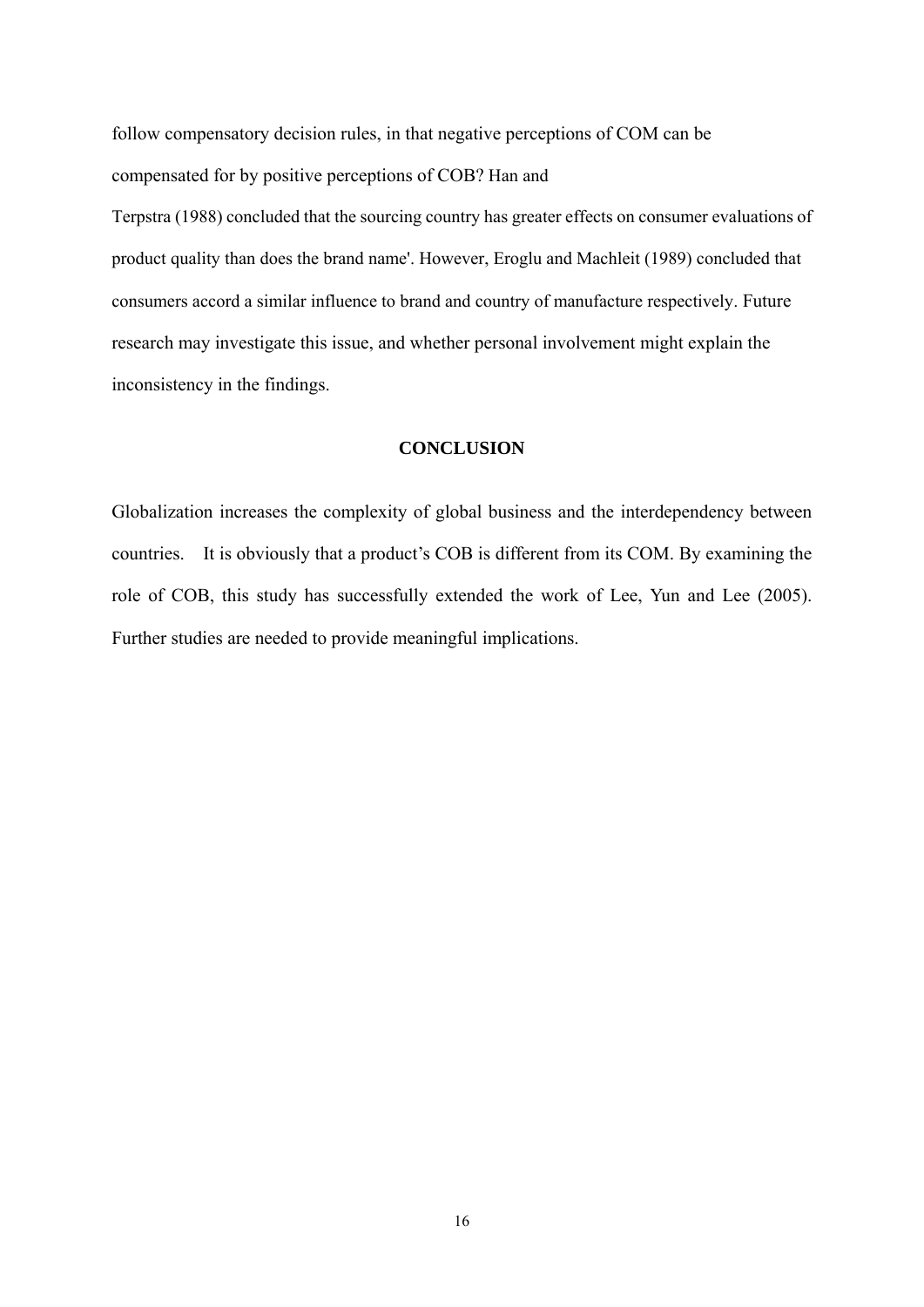follow compensatory decision rules, in that negative perceptions of COM can be compensated for by positive perceptions of COB? Han and

Terpstra (1988) concluded that the sourcing country has greater effects on consumer evaluations of product quality than does the brand name'. However, Eroglu and Machleit (1989) concluded that consumers accord a similar influence to brand and country of manufacture respectively. Future research may investigate this issue, and whether personal involvement might explain the inconsistency in the findings.

#### **CONCLUSION**

Globalization increases the complexity of global business and the interdependency between countries. It is obviously that a product's COB is different from its COM. By examining the role of COB, this study has successfully extended the work of Lee, Yun and Lee (2005). Further studies are needed to provide meaningful implications.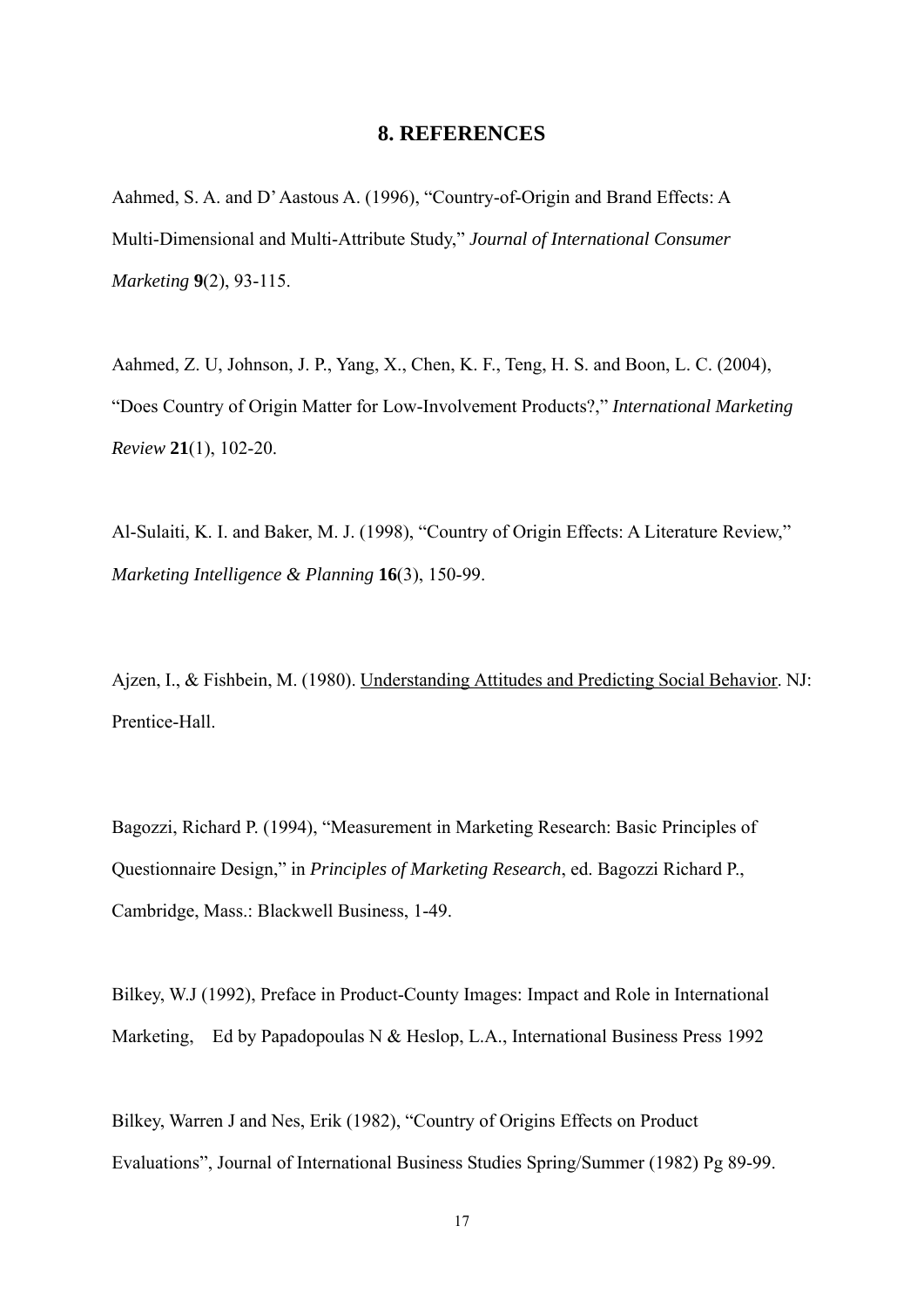## **8. REFERENCES**

Aahmed, S. A. and D' Aastous A. (1996), "Country-of-Origin and Brand Effects: A Multi-Dimensional and Multi-Attribute Study," *Journal of International Consumer Marketing* **9**(2), 93-115.

Aahmed, Z. U, Johnson, J. P., Yang, X., Chen, K. F., Teng, H. S. and Boon, L. C. (2004), "Does Country of Origin Matter for Low-Involvement Products?," *International Marketing Review* **21**(1), 102-20.

Al-Sulaiti, K. I. and Baker, M. J. (1998), "Country of Origin Effects: A Literature Review," *Marketing Intelligence & Planning* **16**(3), 150-99.

Ajzen, I., & Fishbein, M. (1980). Understanding Attitudes and Predicting Social Behavior. NJ: Prentice-Hall.

Bagozzi, Richard P. (1994), "Measurement in Marketing Research: Basic Principles of Questionnaire Design," in *Principles of Marketing Research*, ed. Bagozzi Richard P., Cambridge, Mass.: Blackwell Business, 1-49.

Bilkey, W.J (1992), Preface in Product-County Images: Impact and Role in International Marketing, Ed by Papadopoulas N & Heslop, L.A., International Business Press 1992

Bilkey, Warren J and Nes, Erik (1982), "Country of Origins Effects on Product Evaluations", Journal of International Business Studies Spring/Summer (1982) Pg 89-99.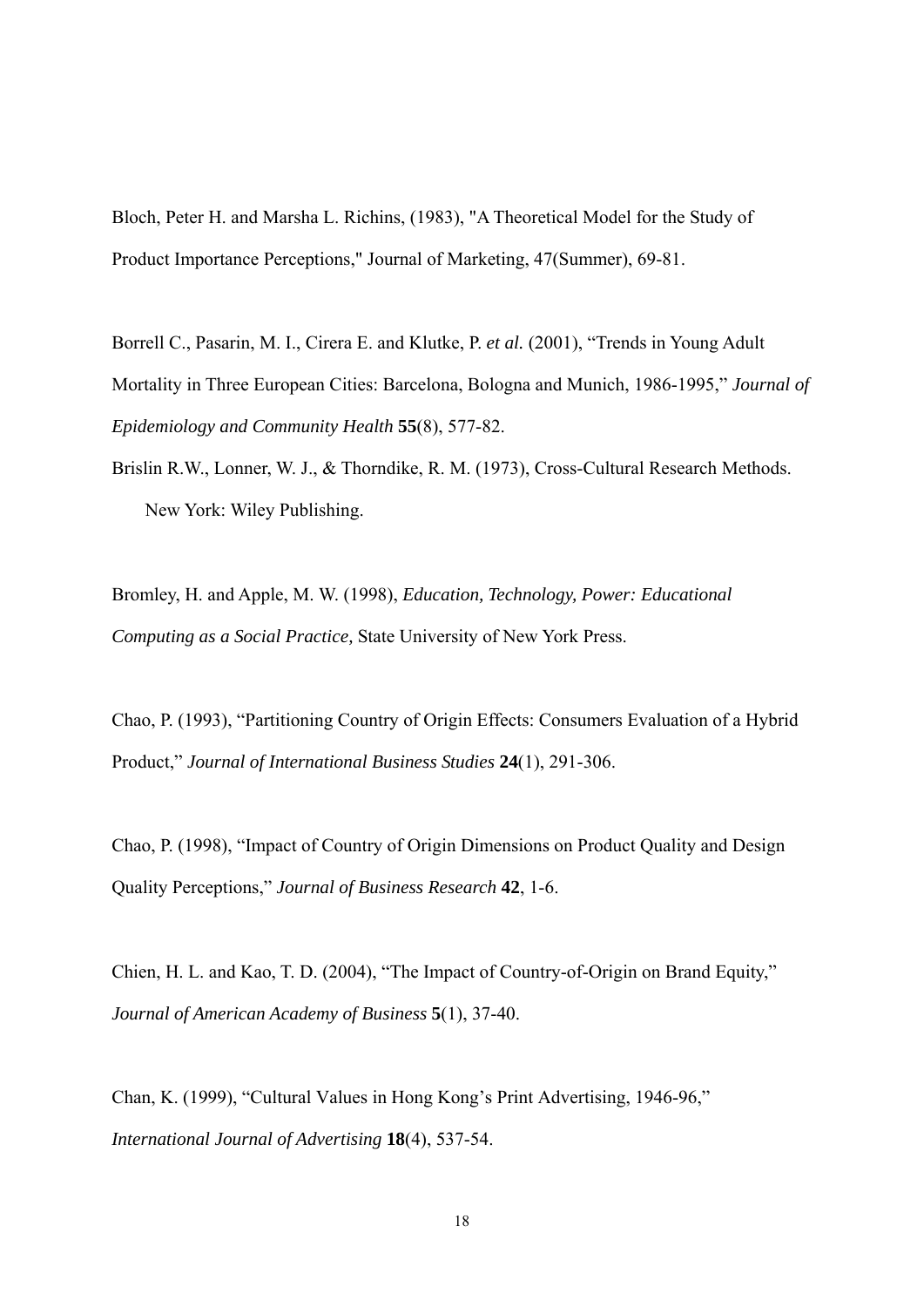Bloch, Peter H. and Marsha L. Richins, (1983), "A Theoretical Model for the Study of Product Importance Perceptions," Journal of Marketing, 47(Summer), 69-81.

Borrell C., Pasarin, M. I., Cirera E. and Klutke, P. *et al.* (2001), "Trends in Young Adult Mortality in Three European Cities: Barcelona, Bologna and Munich, 1986-1995," *Journal of Epidemiology and Community Health* **55**(8), 577-82.

Brislin R.W., Lonner, W. J., & Thorndike, R. M. (1973), Cross-Cultural Research Methods. New York: Wiley Publishing.

Bromley, H. and Apple, M. W. (1998), *Education, Technology, Power: Educational Computing as a Social Practice,* State University of New York Press.

Chao, P. (1993), "Partitioning Country of Origin Effects: Consumers Evaluation of a Hybrid Product," *Journal of International Business Studies* **24**(1), 291-306.

Chao, P. (1998), "Impact of Country of Origin Dimensions on Product Quality and Design Quality Perceptions," *Journal of Business Research* **42**, 1-6.

Chien, H. L. and Kao, T. D. (2004), "The Impact of Country-of-Origin on Brand Equity," *Journal of American Academy of Business* **5**(1), 37-40.

Chan, K. (1999), "Cultural Values in Hong Kong's Print Advertising, 1946-96," *International Journal of Advertising* **18**(4), 537-54.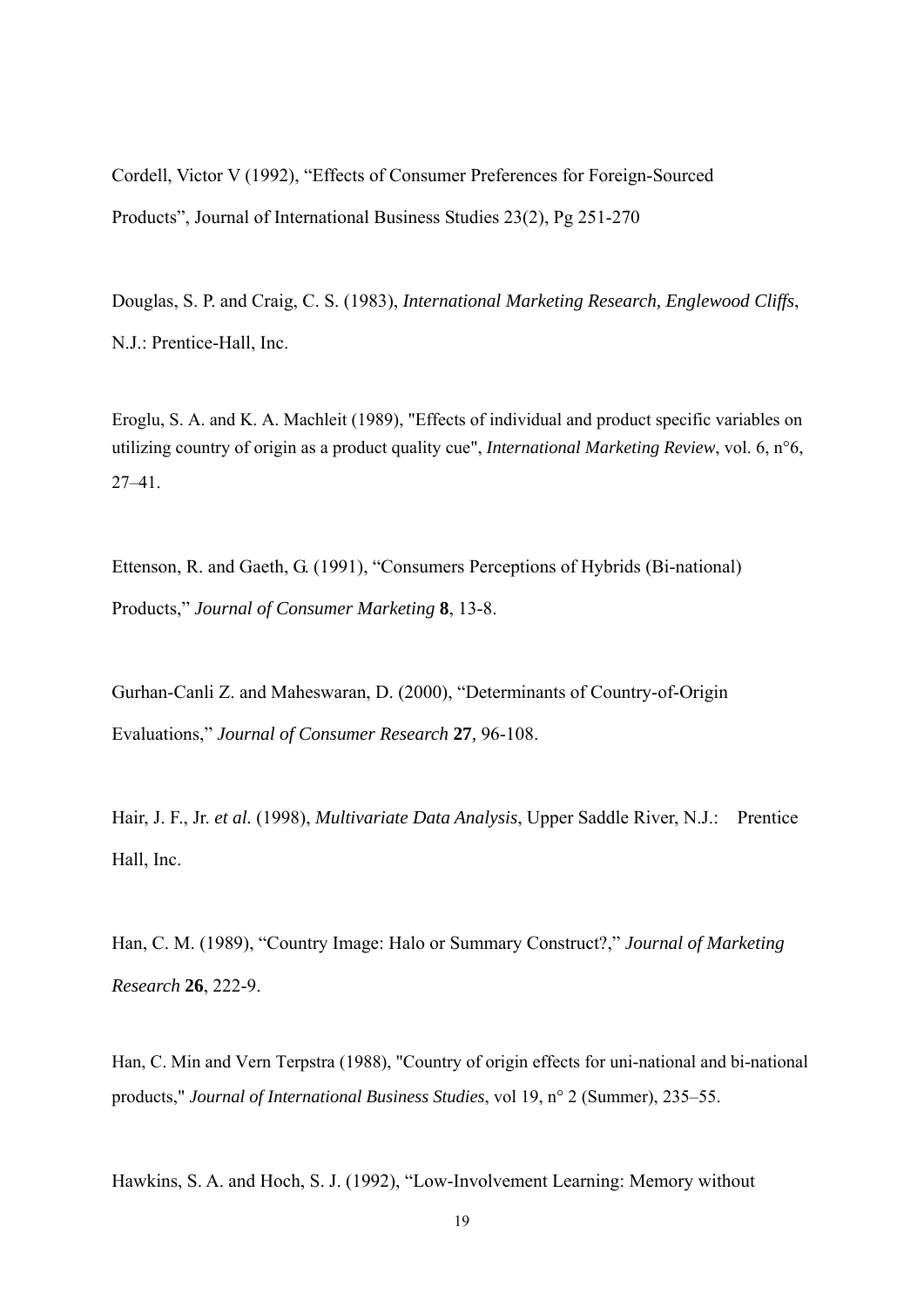Cordell, Victor V (1992), "Effects of Consumer Preferences for Foreign-Sourced Products", Journal of International Business Studies 23(2), Pg 251-270

Douglas, S. P. and Craig, C. S. (1983), *International Marketing Research, Englewood Cliffs*, N.J.: Prentice-Hall, Inc.

Eroglu, S. A. and K. A. Machleit (1989), "Effects of individual and product specific variables on utilizing country of origin as a product quality cue", *International Marketing Review*, vol. 6, n°6, 27–41.

Ettenson, R. and Gaeth, G. (1991), "Consumers Perceptions of Hybrids (Bi-national) Products," *Journal of Consumer Marketing* **8**, 13-8.

Gurhan-Canli Z. and Maheswaran, D. (2000), "Determinants of Country-of-Origin Evaluations," *Journal of Consumer Research* **27***,* 96-108.

Hair, J. F., Jr. *et al.* (1998), *Multivariate Data Analysis*, Upper Saddle River, N.J.: Prentice Hall, Inc.

Han, C. M. (1989), "Country Image: Halo or Summary Construct?," *Journal of Marketing Research* **26**, 222-9.

Han, C. Min and Vern Terpstra (1988), "Country of origin effects for uni-national and bi-national products," *Journal of International Business Studies*, vol 19, n° 2 (Summer), 235–55.

Hawkins, S. A. and Hoch, S. J. (1992), "Low-Involvement Learning: Memory without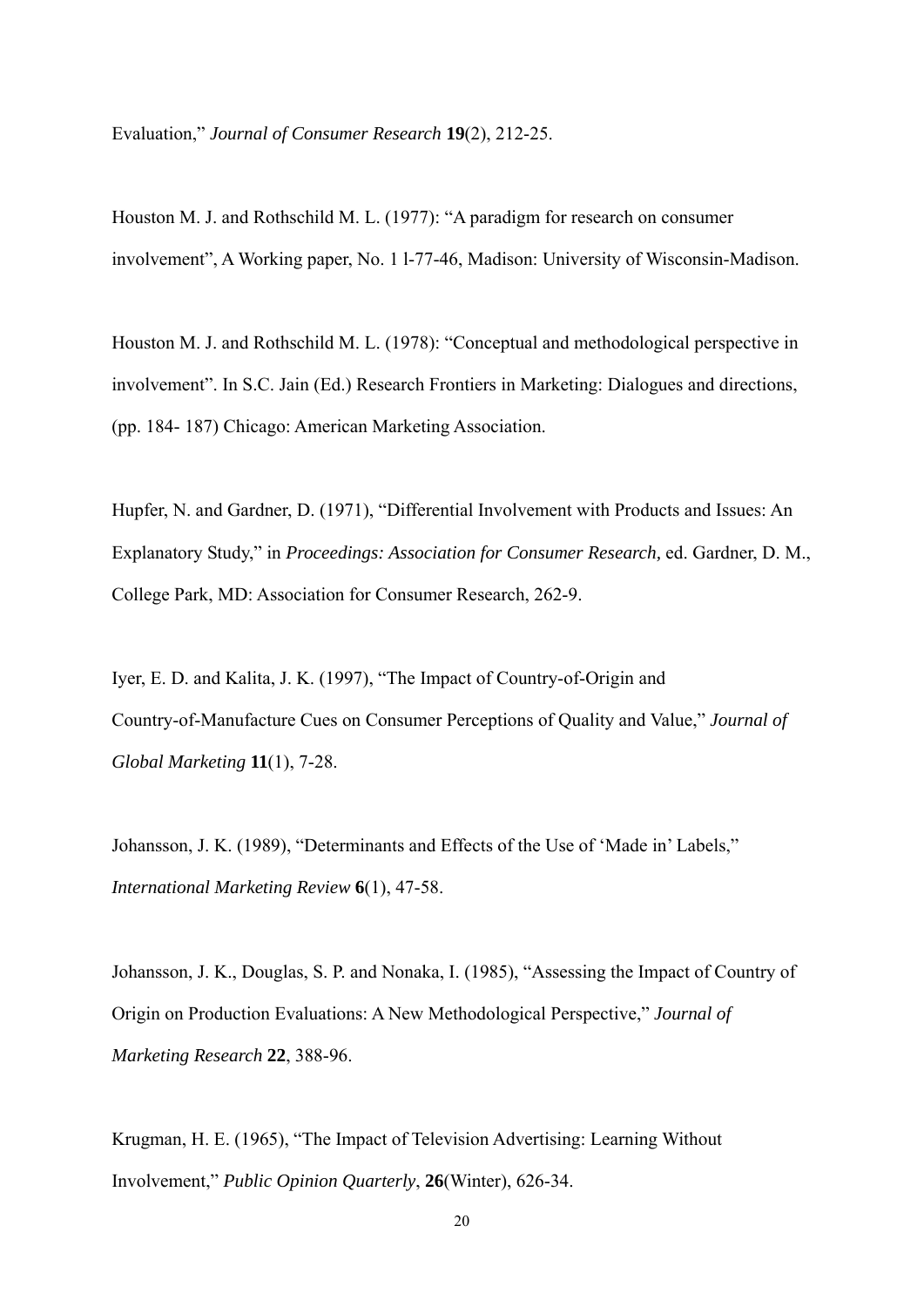Evaluation," *Journal of Consumer Research* **19**(2), 212-25.

Houston M. J. and Rothschild M. L. (1977): "A paradigm for research on consumer involvement", A Working paper, No. 1 l-77-46, Madison: University of Wisconsin-Madison.

Houston M. J. and Rothschild M. L. (1978): "Conceptual and methodological perspective in involvement". In S.C. Jain (Ed.) Research Frontiers in Marketing: Dialogues and directions, (pp. 184- 187) Chicago: American Marketing Association.

Hupfer, N. and Gardner, D. (1971), "Differential Involvement with Products and Issues: An Explanatory Study," in *Proceedings: Association for Consumer Research,* ed. Gardner, D. M., College Park, MD: Association for Consumer Research, 262-9.

Iyer, E. D. and Kalita, J. K. (1997), "The Impact of Country-of-Origin and Country-of-Manufacture Cues on Consumer Perceptions of Quality and Value," *Journal of Global Marketing* **11**(1), 7-28.

Johansson, J. K. (1989), "Determinants and Effects of the Use of 'Made in' Labels," *International Marketing Review* **6**(1), 47-58.

Johansson, J. K., Douglas, S. P. and Nonaka, I. (1985), "Assessing the Impact of Country of Origin on Production Evaluations: A New Methodological Perspective," *Journal of Marketing Research* **22**, 388-96.

Krugman, H. E. (1965), "The Impact of Television Advertising: Learning Without Involvement," *Public Opinion Quarterly*, **26**(Winter), 626-34.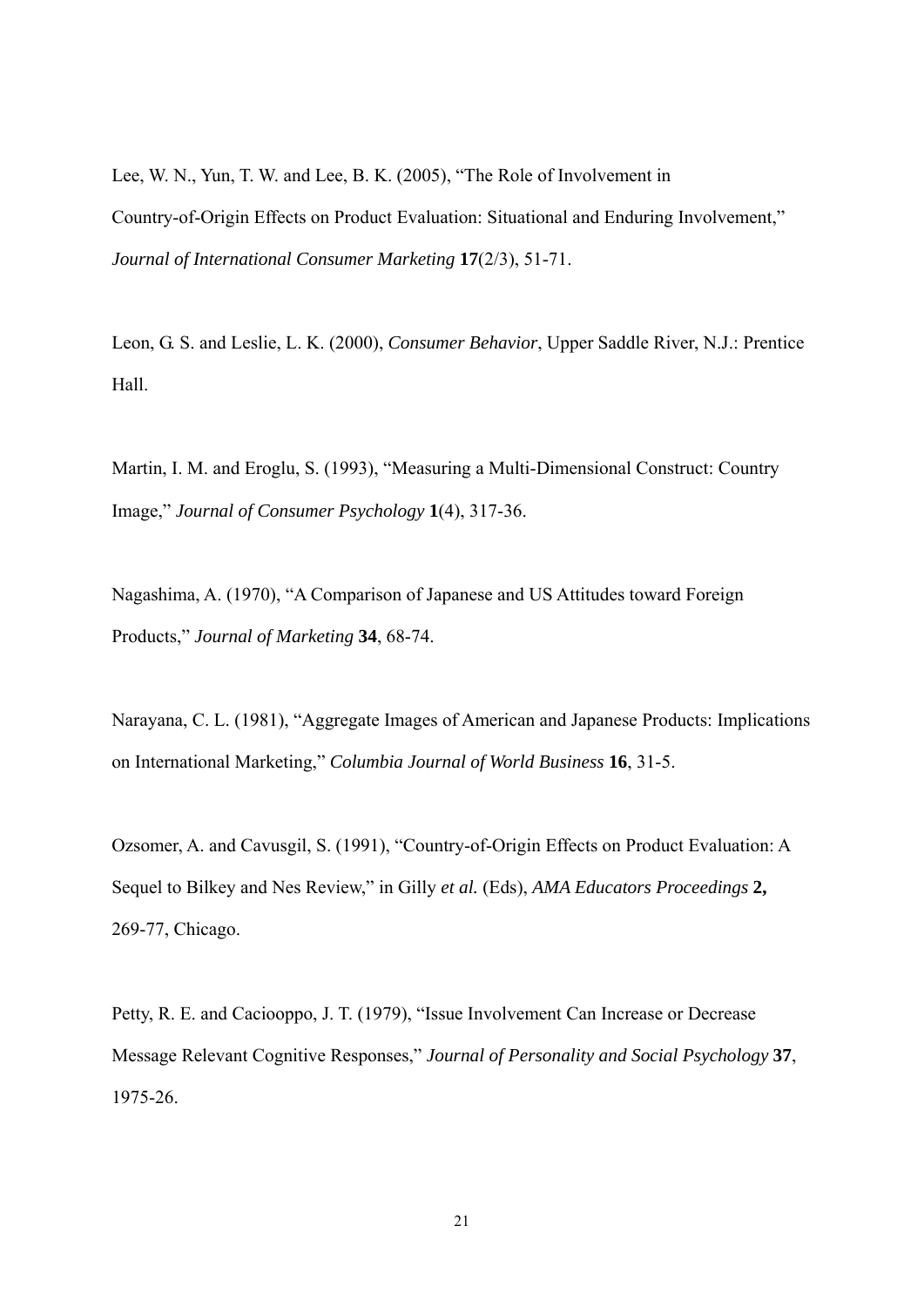Lee, W. N., Yun, T. W. and Lee, B. K. (2005), "The Role of Involvement in Country-of-Origin Effects on Product Evaluation: Situational and Enduring Involvement," *Journal of International Consumer Marketing* **17**(2/3), 51-71.

Leon, G. S. and Leslie, L. K. (2000), *Consumer Behavior*, Upper Saddle River, N.J.: Prentice Hall.

Martin, I. M. and Eroglu, S. (1993), "Measuring a Multi-Dimensional Construct: Country Image," *Journal of Consumer Psychology* **1**(4), 317-36.

Nagashima, A. (1970), "A Comparison of Japanese and US Attitudes toward Foreign Products," *Journal of Marketing* **34**, 68-74.

Narayana, C. L. (1981), "Aggregate Images of American and Japanese Products: Implications on International Marketing," *Columbia Journal of World Business* **16**, 31-5.

Ozsomer, A. and Cavusgil, S. (1991), "Country-of-Origin Effects on Product Evaluation: A Sequel to Bilkey and Nes Review," in Gilly *et al.* (Eds), *AMA Educators Proceedings* **2,**  269-77, Chicago.

Petty, R. E. and Caciooppo, J. T. (1979), "Issue Involvement Can Increase or Decrease Message Relevant Cognitive Responses," *Journal of Personality and Social Psychology* **37**, 1975-26.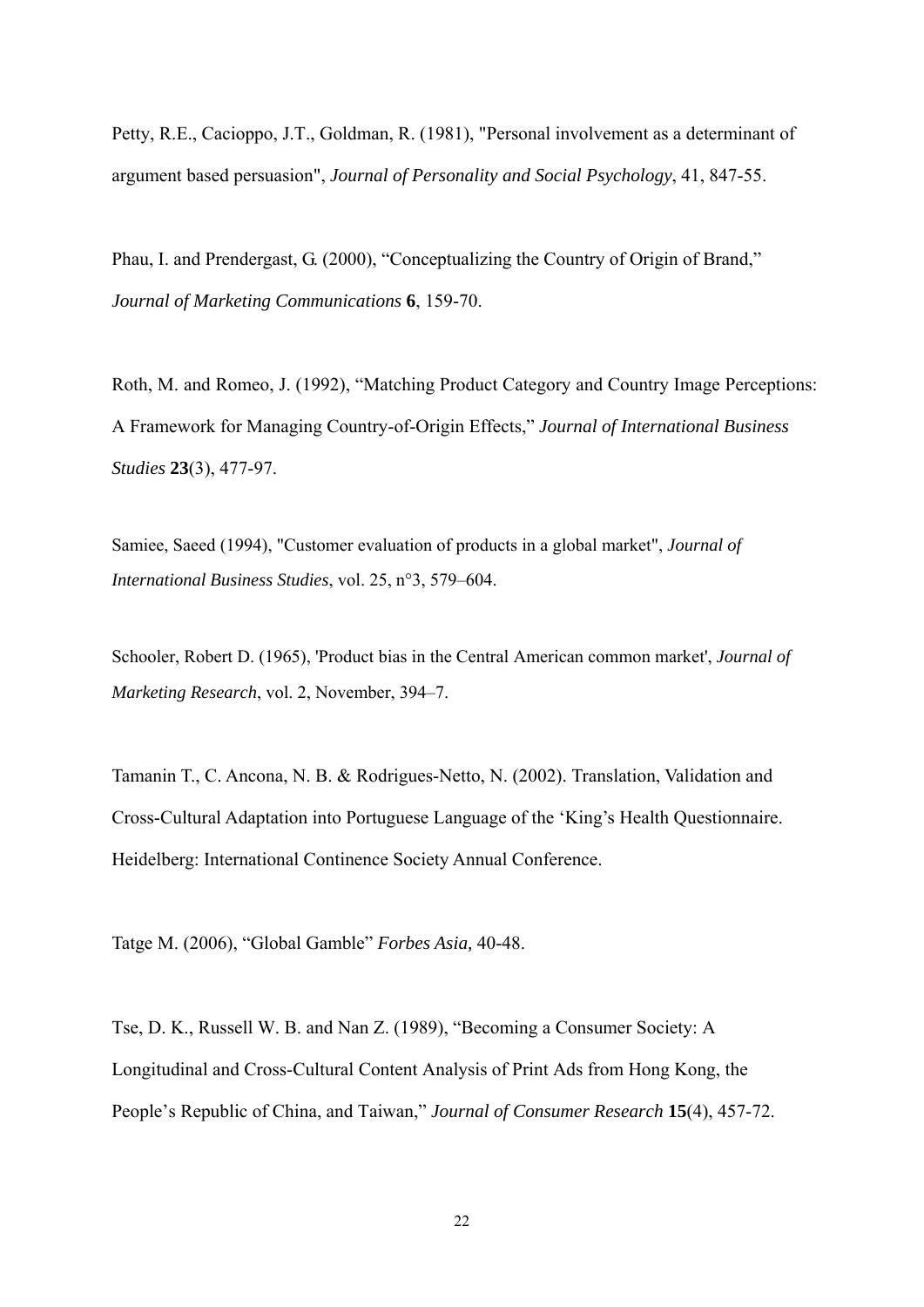Petty, R.E., Cacioppo, J.T., Goldman, R. (1981), "Personal involvement as a determinant of argument based persuasion", *Journal of Personality and Social Psychology*, 41, 847-55.

Phau, I. and Prendergast, G. (2000), "Conceptualizing the Country of Origin of Brand," *Journal of Marketing Communications* **6**, 159-70.

Roth, M. and Romeo, J. (1992), "Matching Product Category and Country Image Perceptions: A Framework for Managing Country-of-Origin Effects," *Journal of International Business Studies* **23**(3), 477-97.

Samiee, Saeed (1994), "Customer evaluation of products in a global market", *Journal of International Business Studies*, vol. 25, n°3, 579–604.

Schooler, Robert D. (1965), 'Product bias in the Central American common market', *Journal of Marketing Research*, vol. 2, November, 394–7.

Tamanin T., C. Ancona, N. B. & Rodrigues-Netto, N. (2002). Translation, Validation and Cross-Cultural Adaptation into Portuguese Language of the 'King's Health Questionnaire. Heidelberg: International Continence Society Annual Conference.

Tatge M. (2006), "Global Gamble" *Forbes Asia,* 40-48.

Tse, D. K., Russell W. B. and Nan Z. (1989), "Becoming a Consumer Society: A Longitudinal and Cross-Cultural Content Analysis of Print Ads from Hong Kong, the People's Republic of China, and Taiwan," *Journal of Consumer Research* **15**(4), 457-72.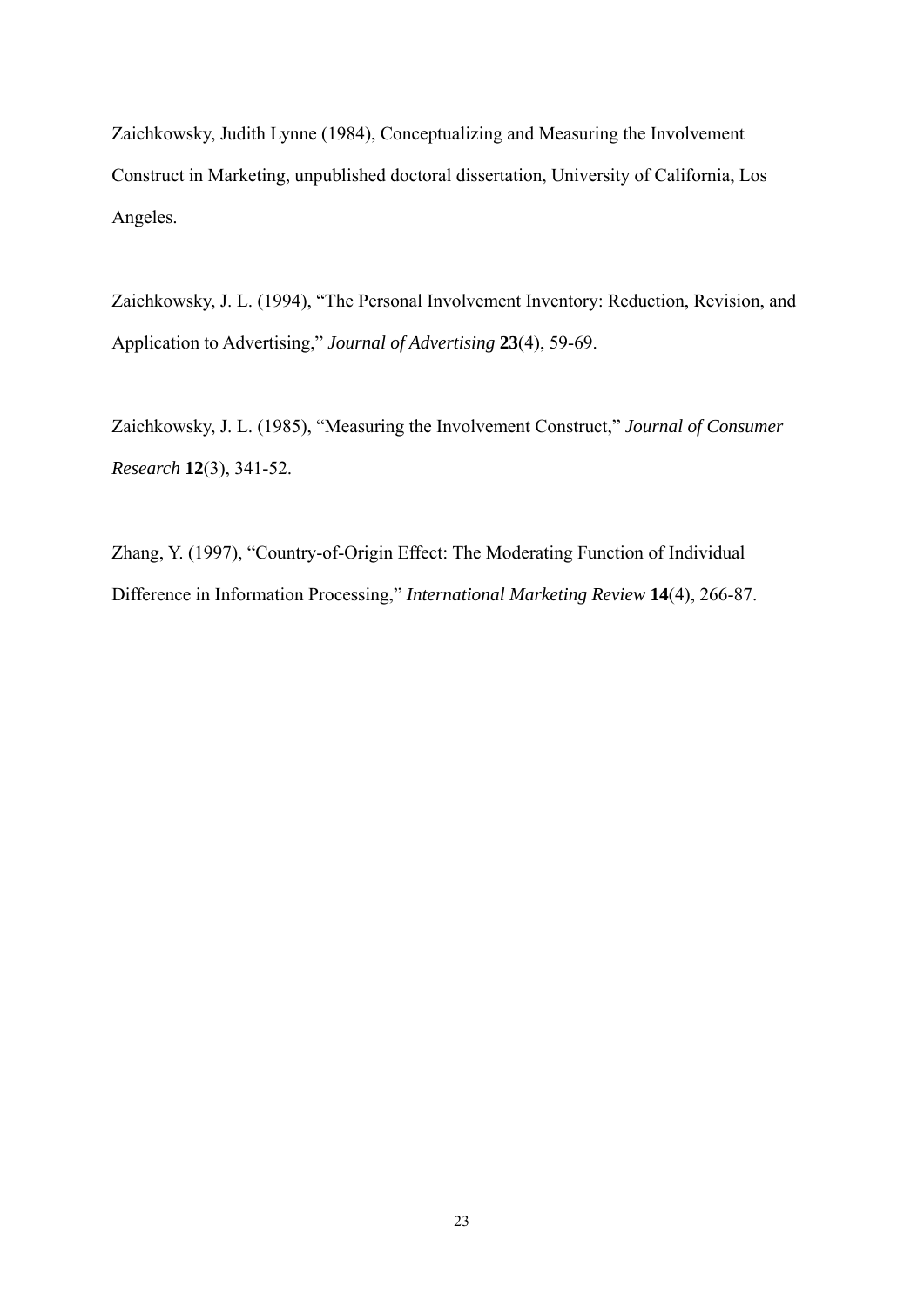Zaichkowsky, Judith Lynne (1984), Conceptualizing and Measuring the Involvement Construct in Marketing, unpublished doctoral dissertation, University of California, Los Angeles.

Zaichkowsky, J. L. (1994), "The Personal Involvement Inventory: Reduction, Revision, and Application to Advertising," *Journal of Advertising* **23**(4), 59-69.

Zaichkowsky, J. L. (1985), "Measuring the Involvement Construct," *Journal of Consumer Research* **12**(3), 341-52.

Zhang, Y. (1997), "Country-of-Origin Effect: The Moderating Function of Individual Difference in Information Processing," *International Marketing Review* **14**(4), 266-87.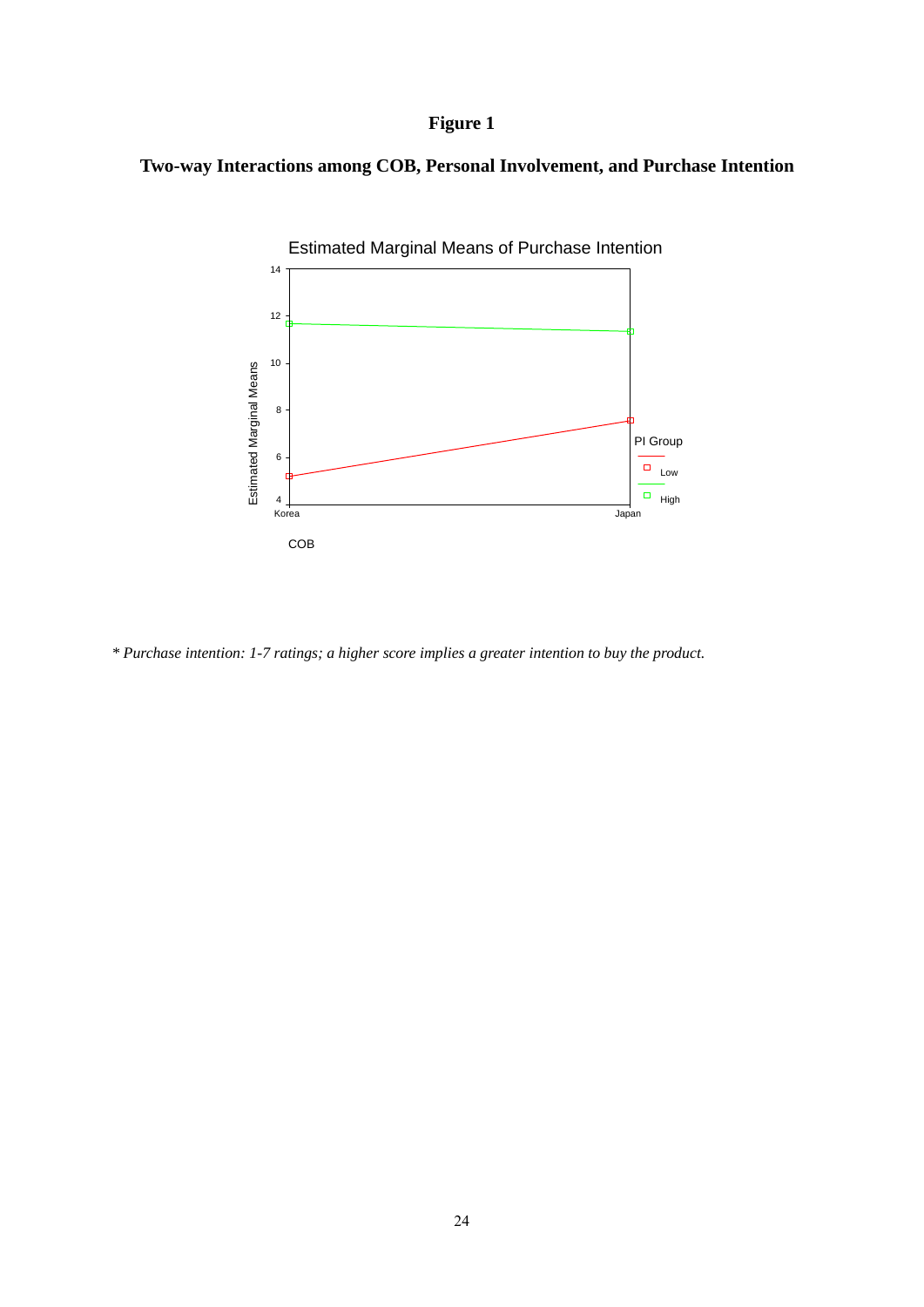## **Figure 1**

## **Two-way Interactions among COB, Personal Involvement, and Purchase Intention**



*\* Purchase intention: 1-7 ratings; a higher score implies a greater intention to buy the product.*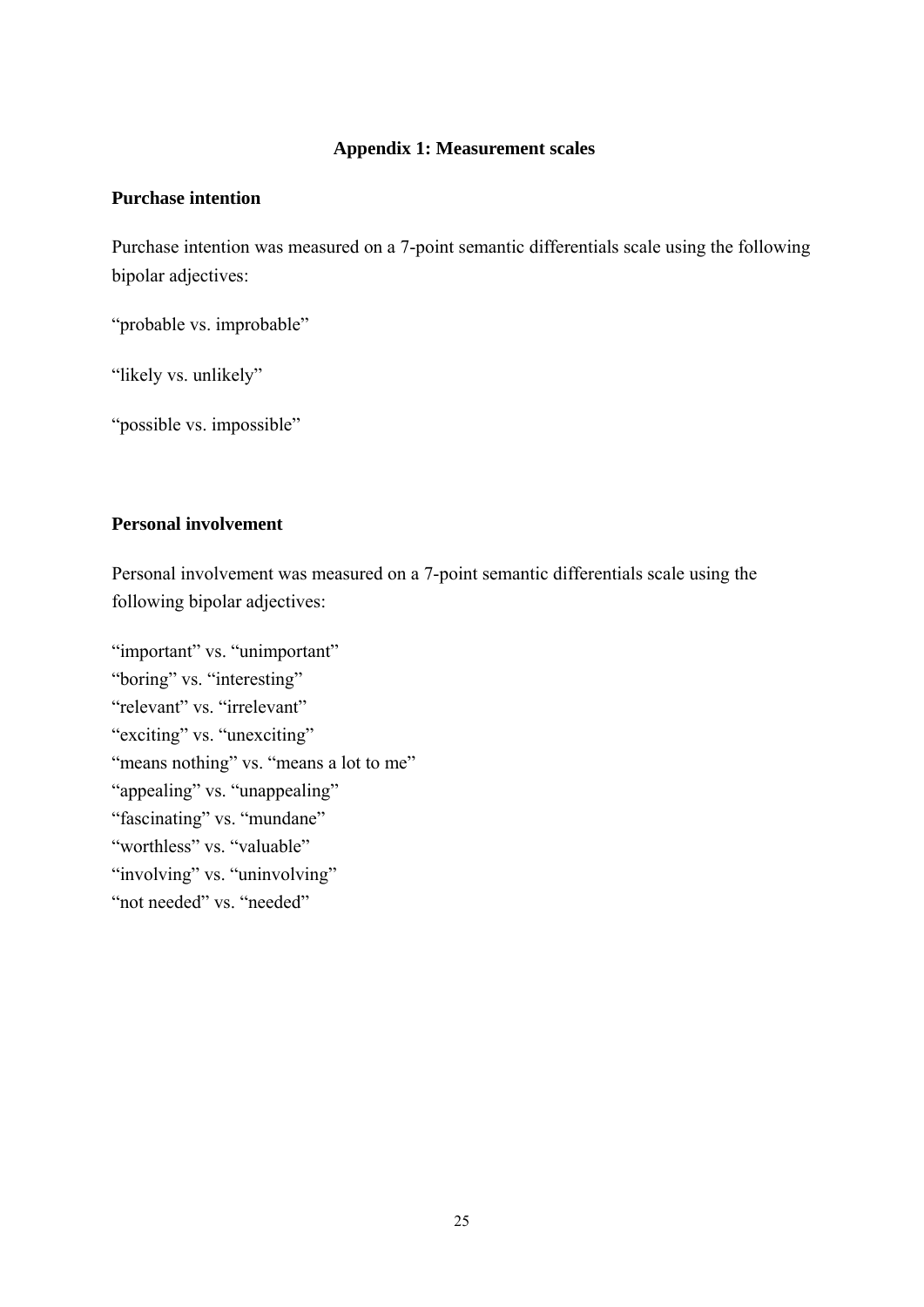## **Appendix 1: Measurement scales**

## **Purchase intention**

Purchase intention was measured on a 7-point semantic differentials scale using the following bipolar adjectives:

"probable vs. improbable"

"likely vs. unlikely"

"possible vs. impossible"

## **Personal involvement**

Personal involvement was measured on a 7-point semantic differentials scale using the following bipolar adjectives:

"important" vs. "unimportant" "boring" vs. "interesting" "relevant" vs. "irrelevant" "exciting" vs. "unexciting" "means nothing" vs. "means a lot to me" "appealing" vs. "unappealing" "fascinating" vs. "mundane" "worthless" vs. "valuable" "involving" vs. "uninvolving" "not needed" vs. "needed"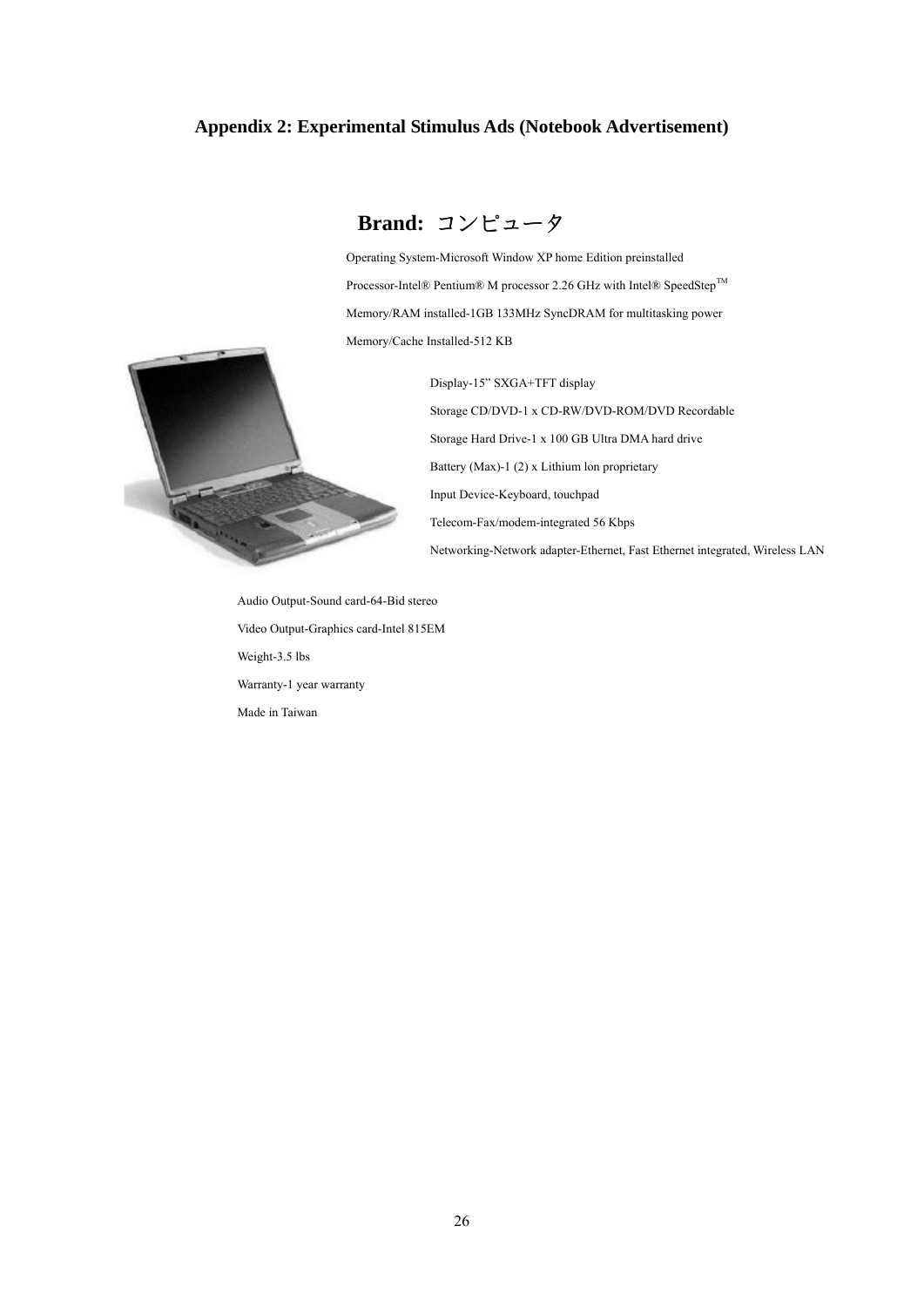#### **Appendix 2: Experimental Stimulus Ads (Notebook Advertisement)**



**Brand:** コンピュータ

Operating System-Microsoft Window XP home Edition preinstalled Processor-Intel® Pentium® M processor 2.26 GHz with Intel® SpeedStep™ Memory/RAM installed-1GB 133MHz SyncDRAM for multitasking power Memory/Cache Installed-512 KB

> Display-15" SXGA+TFT display Storage CD/DVD-1 x CD-RW/DVD-ROM/DVD Recordable Storage Hard Drive-1 x 100 GB Ultra DMA hard drive Battery (Max)-1 (2) x Lithium lon proprietary Input Device-Keyboard, touchpad Telecom-Fax/modem-integrated 56 Kbps Networking-Network adapter-Ethernet, Fast Ethernet integrated, Wireless LAN

Audio Output-Sound card-64-Bid stereo Video Output-Graphics card-Intel 815EM Weight-3.5 lbs Warranty-1 year warranty Made in Taiwan